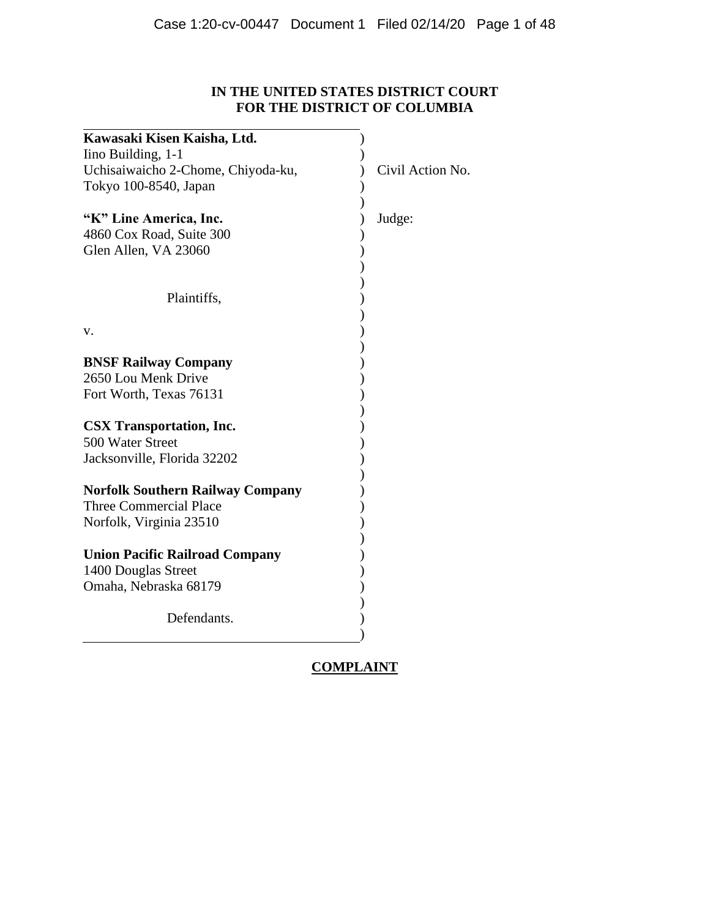# **IN THE UNITED STATES DISTRICT COURT FOR THE DISTRICT OF COLUMBIA**

| Kawasaki Kisen Kaisha, Ltd.                         |                  |
|-----------------------------------------------------|------------------|
| Iino Building, 1-1                                  |                  |
| Uchisaiwaicho 2-Chome, Chiyoda-ku,                  | Civil Action No. |
| Tokyo 100-8540, Japan                               |                  |
|                                                     |                  |
| "K" Line America, Inc.                              | Judge:           |
| 4860 Cox Road, Suite 300                            |                  |
| Glen Allen, VA 23060                                |                  |
|                                                     |                  |
|                                                     |                  |
| Plaintiffs,                                         |                  |
|                                                     |                  |
| v.                                                  |                  |
|                                                     |                  |
| <b>BNSF Railway Company</b>                         |                  |
| 2650 Lou Menk Drive                                 |                  |
| Fort Worth, Texas 76131                             |                  |
|                                                     |                  |
| <b>CSX Transportation, Inc.</b><br>500 Water Street |                  |
|                                                     |                  |
| Jacksonville, Florida 32202                         |                  |
| <b>Norfolk Southern Railway Company</b>             |                  |
| <b>Three Commercial Place</b>                       |                  |
| Norfolk, Virginia 23510                             |                  |
|                                                     |                  |
| <b>Union Pacific Railroad Company</b>               |                  |
| 1400 Douglas Street                                 |                  |
| Omaha, Nebraska 68179                               |                  |
|                                                     |                  |
| Defendants.                                         |                  |
|                                                     |                  |
|                                                     |                  |

# **COMPLAINT**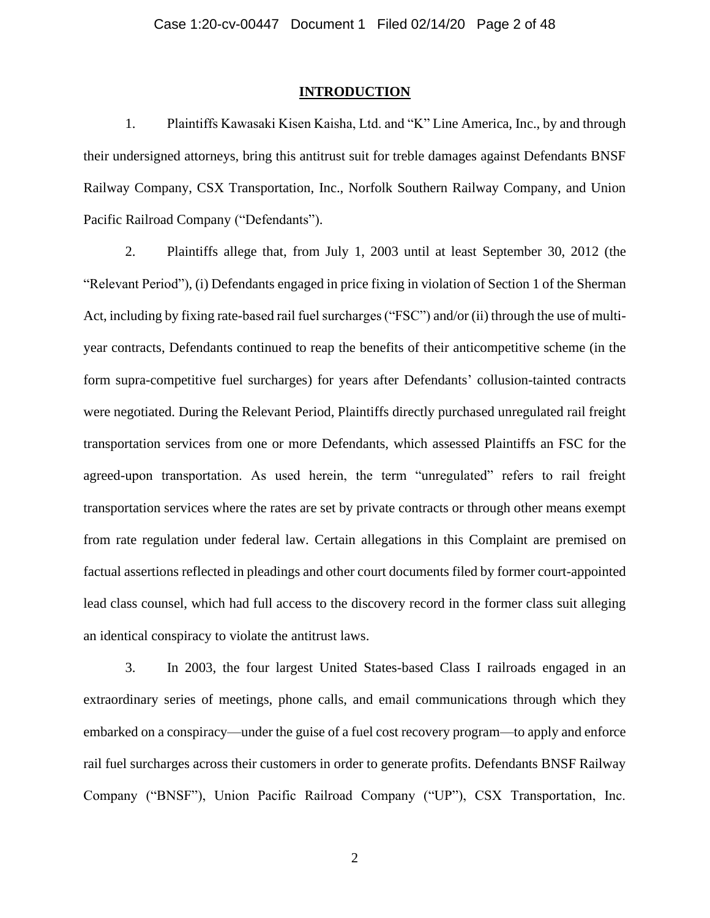#### **INTRODUCTION**

1. Plaintiffs Kawasaki Kisen Kaisha, Ltd. and "K" Line America, Inc., by and through their undersigned attorneys, bring this antitrust suit for treble damages against Defendants BNSF Railway Company, CSX Transportation, Inc., Norfolk Southern Railway Company, and Union Pacific Railroad Company ("Defendants").

2. Plaintiffs allege that, from July 1, 2003 until at least September 30, 2012 (the "Relevant Period"), (i) Defendants engaged in price fixing in violation of Section 1 of the Sherman Act, including by fixing rate-based rail fuel surcharges ("FSC") and/or (ii) through the use of multiyear contracts, Defendants continued to reap the benefits of their anticompetitive scheme (in the form supra-competitive fuel surcharges) for years after Defendants' collusion-tainted contracts were negotiated. During the Relevant Period, Plaintiffs directly purchased unregulated rail freight transportation services from one or more Defendants, which assessed Plaintiffs an FSC for the agreed-upon transportation. As used herein, the term "unregulated" refers to rail freight transportation services where the rates are set by private contracts or through other means exempt from rate regulation under federal law. Certain allegations in this Complaint are premised on factual assertions reflected in pleadings and other court documents filed by former court-appointed lead class counsel, which had full access to the discovery record in the former class suit alleging an identical conspiracy to violate the antitrust laws.

3. In 2003, the four largest United States-based Class I railroads engaged in an extraordinary series of meetings, phone calls, and email communications through which they embarked on a conspiracy—under the guise of a fuel cost recovery program—to apply and enforce rail fuel surcharges across their customers in order to generate profits. Defendants BNSF Railway Company ("BNSF"), Union Pacific Railroad Company ("UP"), CSX Transportation, Inc.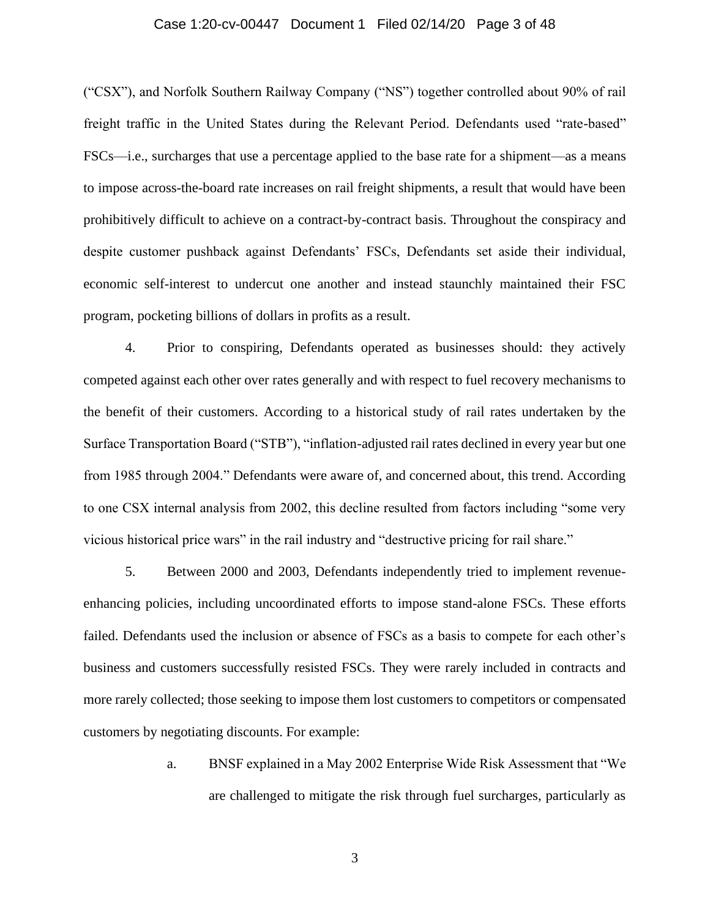#### Case 1:20-cv-00447 Document 1 Filed 02/14/20 Page 3 of 48

("CSX"), and Norfolk Southern Railway Company ("NS") together controlled about 90% of rail freight traffic in the United States during the Relevant Period. Defendants used "rate-based" FSCs—i.e., surcharges that use a percentage applied to the base rate for a shipment—as a means to impose across-the-board rate increases on rail freight shipments, a result that would have been prohibitively difficult to achieve on a contract-by-contract basis. Throughout the conspiracy and despite customer pushback against Defendants' FSCs, Defendants set aside their individual, economic self-interest to undercut one another and instead staunchly maintained their FSC program, pocketing billions of dollars in profits as a result.

4. Prior to conspiring, Defendants operated as businesses should: they actively competed against each other over rates generally and with respect to fuel recovery mechanisms to the benefit of their customers. According to a historical study of rail rates undertaken by the Surface Transportation Board ("STB"), "inflation-adjusted rail rates declined in every year but one from 1985 through 2004." Defendants were aware of, and concerned about, this trend. According to one CSX internal analysis from 2002, this decline resulted from factors including "some very vicious historical price wars" in the rail industry and "destructive pricing for rail share."

5. Between 2000 and 2003, Defendants independently tried to implement revenueenhancing policies, including uncoordinated efforts to impose stand-alone FSCs. These efforts failed. Defendants used the inclusion or absence of FSCs as a basis to compete for each other's business and customers successfully resisted FSCs. They were rarely included in contracts and more rarely collected; those seeking to impose them lost customers to competitors or compensated customers by negotiating discounts. For example:

> a. BNSF explained in a May 2002 Enterprise Wide Risk Assessment that "We are challenged to mitigate the risk through fuel surcharges, particularly as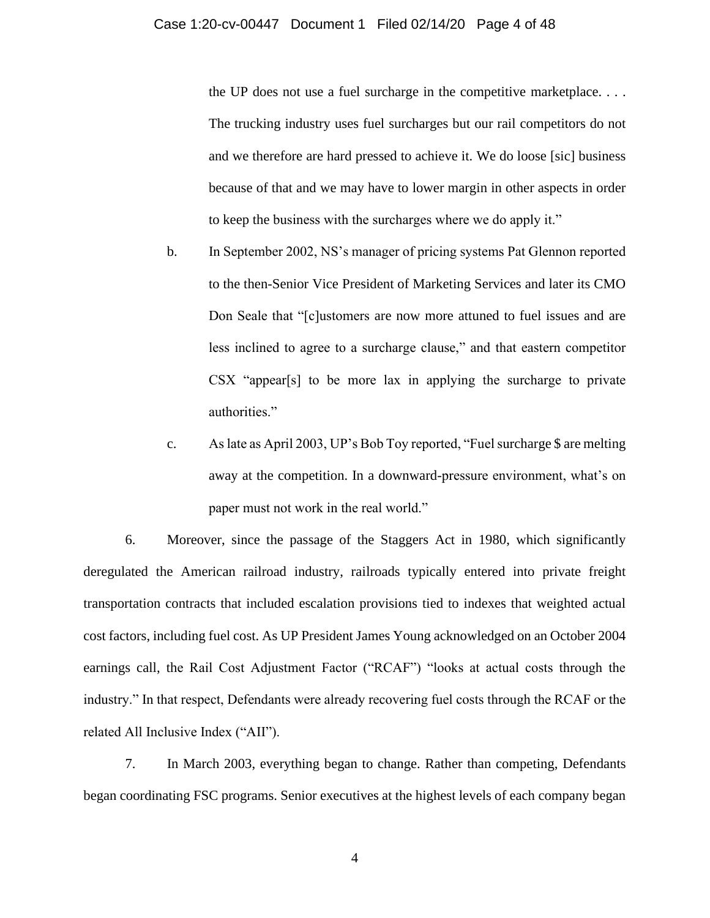the UP does not use a fuel surcharge in the competitive marketplace. . . . The trucking industry uses fuel surcharges but our rail competitors do not and we therefore are hard pressed to achieve it. We do loose [sic] business because of that and we may have to lower margin in other aspects in order to keep the business with the surcharges where we do apply it."

- b. In September 2002, NS's manager of pricing systems Pat Glennon reported to the then-Senior Vice President of Marketing Services and later its CMO Don Seale that "[c]ustomers are now more attuned to fuel issues and are less inclined to agree to a surcharge clause," and that eastern competitor CSX "appear[s] to be more lax in applying the surcharge to private authorities."
- c. As late as April 2003, UP's Bob Toy reported, "Fuel surcharge \$ are melting away at the competition. In a downward-pressure environment, what's on paper must not work in the real world."

6. Moreover, since the passage of the Staggers Act in 1980, which significantly deregulated the American railroad industry, railroads typically entered into private freight transportation contracts that included escalation provisions tied to indexes that weighted actual cost factors, including fuel cost. As UP President James Young acknowledged on an October 2004 earnings call, the Rail Cost Adjustment Factor ("RCAF") "looks at actual costs through the industry." In that respect, Defendants were already recovering fuel costs through the RCAF or the related All Inclusive Index ("AII").

7. In March 2003, everything began to change. Rather than competing, Defendants began coordinating FSC programs. Senior executives at the highest levels of each company began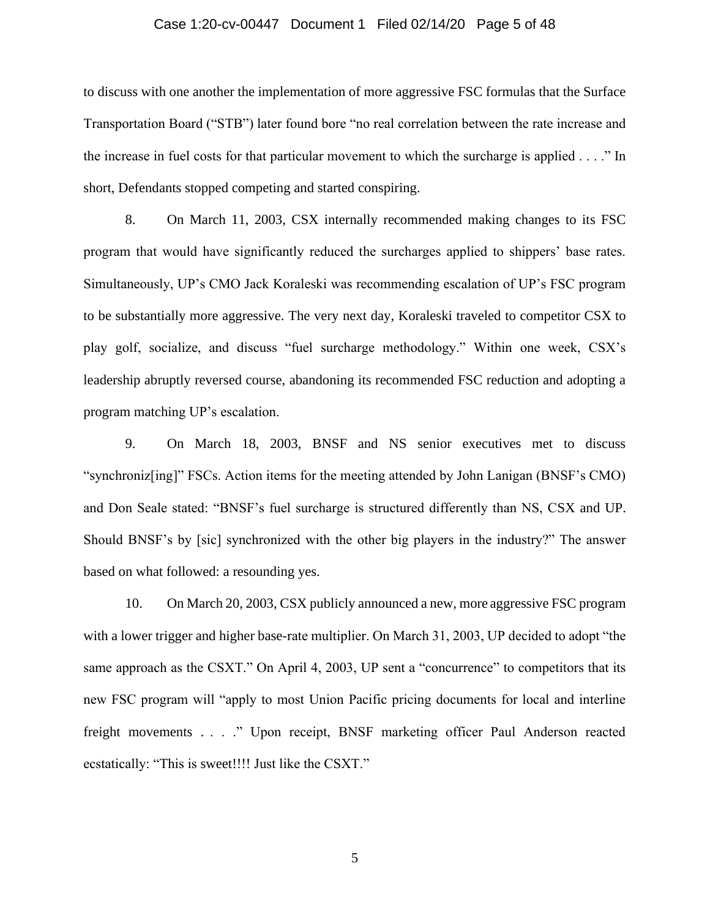#### Case 1:20-cv-00447 Document 1 Filed 02/14/20 Page 5 of 48

to discuss with one another the implementation of more aggressive FSC formulas that the Surface Transportation Board ("STB") later found bore "no real correlation between the rate increase and the increase in fuel costs for that particular movement to which the surcharge is applied . . . ." In short, Defendants stopped competing and started conspiring.

8. On March 11, 2003, CSX internally recommended making changes to its FSC program that would have significantly reduced the surcharges applied to shippers' base rates. Simultaneously, UP's CMO Jack Koraleski was recommending escalation of UP's FSC program to be substantially more aggressive. The very next day, Koraleski traveled to competitor CSX to play golf, socialize, and discuss "fuel surcharge methodology." Within one week, CSX's leadership abruptly reversed course, abandoning its recommended FSC reduction and adopting a program matching UP's escalation.

9. On March 18, 2003, BNSF and NS senior executives met to discuss "synchroniz[ing]" FSCs. Action items for the meeting attended by John Lanigan (BNSF's CMO) and Don Seale stated: "BNSF's fuel surcharge is structured differently than NS, CSX and UP. Should BNSF's by [sic] synchronized with the other big players in the industry?" The answer based on what followed: a resounding yes.

10. On March 20, 2003, CSX publicly announced a new, more aggressive FSC program with a lower trigger and higher base-rate multiplier. On March 31, 2003, UP decided to adopt "the same approach as the CSXT." On April 4, 2003, UP sent a "concurrence" to competitors that its new FSC program will "apply to most Union Pacific pricing documents for local and interline freight movements . . . ." Upon receipt, BNSF marketing officer Paul Anderson reacted ecstatically: "This is sweet!!!! Just like the CSXT."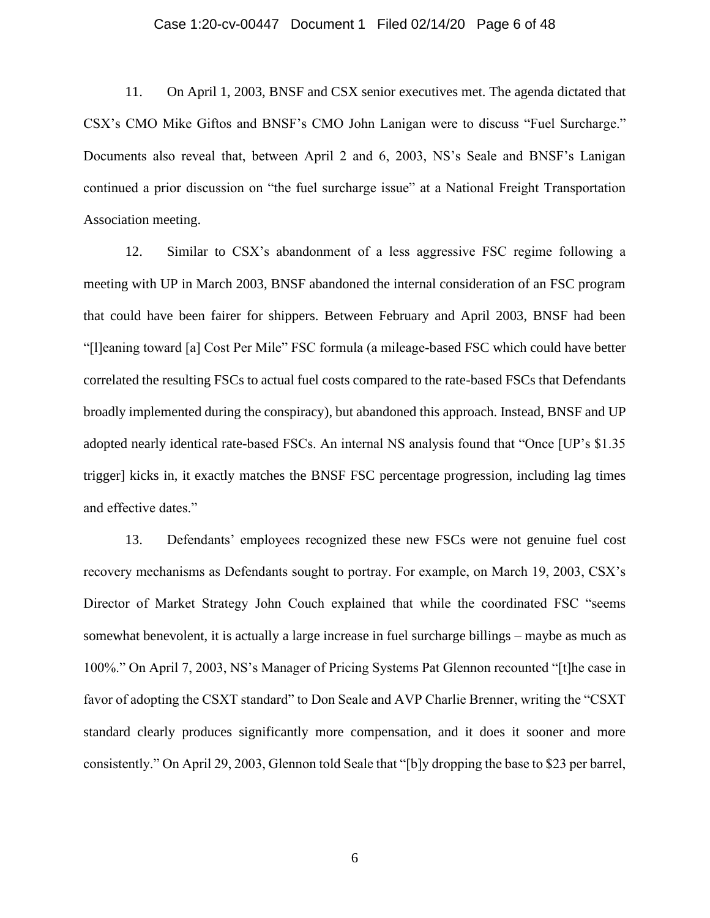#### Case 1:20-cv-00447 Document 1 Filed 02/14/20 Page 6 of 48

11. On April 1, 2003, BNSF and CSX senior executives met. The agenda dictated that CSX's CMO Mike Giftos and BNSF's CMO John Lanigan were to discuss "Fuel Surcharge." Documents also reveal that, between April 2 and 6, 2003, NS's Seale and BNSF's Lanigan continued a prior discussion on "the fuel surcharge issue" at a National Freight Transportation Association meeting.

12. Similar to CSX's abandonment of a less aggressive FSC regime following a meeting with UP in March 2003, BNSF abandoned the internal consideration of an FSC program that could have been fairer for shippers. Between February and April 2003, BNSF had been "[l]eaning toward [a] Cost Per Mile" FSC formula (a mileage-based FSC which could have better correlated the resulting FSCs to actual fuel costs compared to the rate-based FSCs that Defendants broadly implemented during the conspiracy), but abandoned this approach. Instead, BNSF and UP adopted nearly identical rate-based FSCs. An internal NS analysis found that "Once [UP's \$1.35 trigger] kicks in, it exactly matches the BNSF FSC percentage progression, including lag times and effective dates."

13. Defendants' employees recognized these new FSCs were not genuine fuel cost recovery mechanisms as Defendants sought to portray. For example, on March 19, 2003, CSX's Director of Market Strategy John Couch explained that while the coordinated FSC "seems somewhat benevolent, it is actually a large increase in fuel surcharge billings – maybe as much as 100%." On April 7, 2003, NS's Manager of Pricing Systems Pat Glennon recounted "[t]he case in favor of adopting the CSXT standard" to Don Seale and AVP Charlie Brenner, writing the "CSXT standard clearly produces significantly more compensation, and it does it sooner and more consistently." On April 29, 2003, Glennon told Seale that "[b]y dropping the base to \$23 per barrel,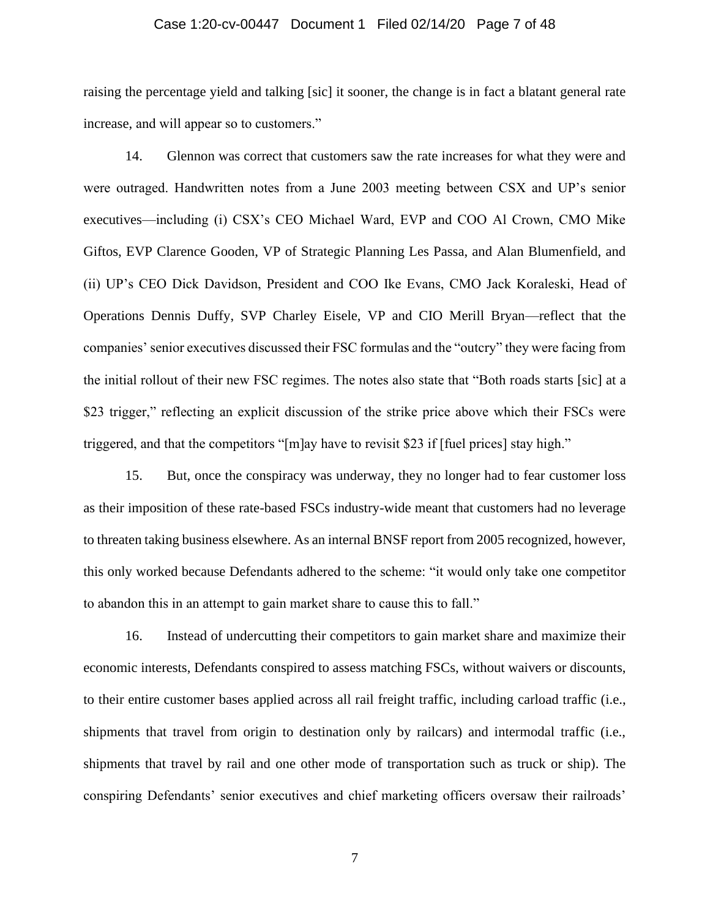#### Case 1:20-cv-00447 Document 1 Filed 02/14/20 Page 7 of 48

raising the percentage yield and talking [sic] it sooner, the change is in fact a blatant general rate increase, and will appear so to customers."

14. Glennon was correct that customers saw the rate increases for what they were and were outraged. Handwritten notes from a June 2003 meeting between CSX and UP's senior executives—including (i) CSX's CEO Michael Ward, EVP and COO Al Crown, CMO Mike Giftos, EVP Clarence Gooden, VP of Strategic Planning Les Passa, and Alan Blumenfield, and (ii) UP's CEO Dick Davidson, President and COO Ike Evans, CMO Jack Koraleski, Head of Operations Dennis Duffy, SVP Charley Eisele, VP and CIO Merill Bryan—reflect that the companies' senior executives discussed their FSC formulas and the "outcry" they were facing from the initial rollout of their new FSC regimes. The notes also state that "Both roads starts [sic] at a \$23 trigger," reflecting an explicit discussion of the strike price above which their FSCs were triggered, and that the competitors "[m]ay have to revisit \$23 if [fuel prices] stay high."

15. But, once the conspiracy was underway, they no longer had to fear customer loss as their imposition of these rate-based FSCs industry-wide meant that customers had no leverage to threaten taking business elsewhere. As an internal BNSF report from 2005 recognized, however, this only worked because Defendants adhered to the scheme: "it would only take one competitor to abandon this in an attempt to gain market share to cause this to fall."

16. Instead of undercutting their competitors to gain market share and maximize their economic interests, Defendants conspired to assess matching FSCs, without waivers or discounts, to their entire customer bases applied across all rail freight traffic, including carload traffic (i.e., shipments that travel from origin to destination only by railcars) and intermodal traffic (i.e., shipments that travel by rail and one other mode of transportation such as truck or ship). The conspiring Defendants' senior executives and chief marketing officers oversaw their railroads'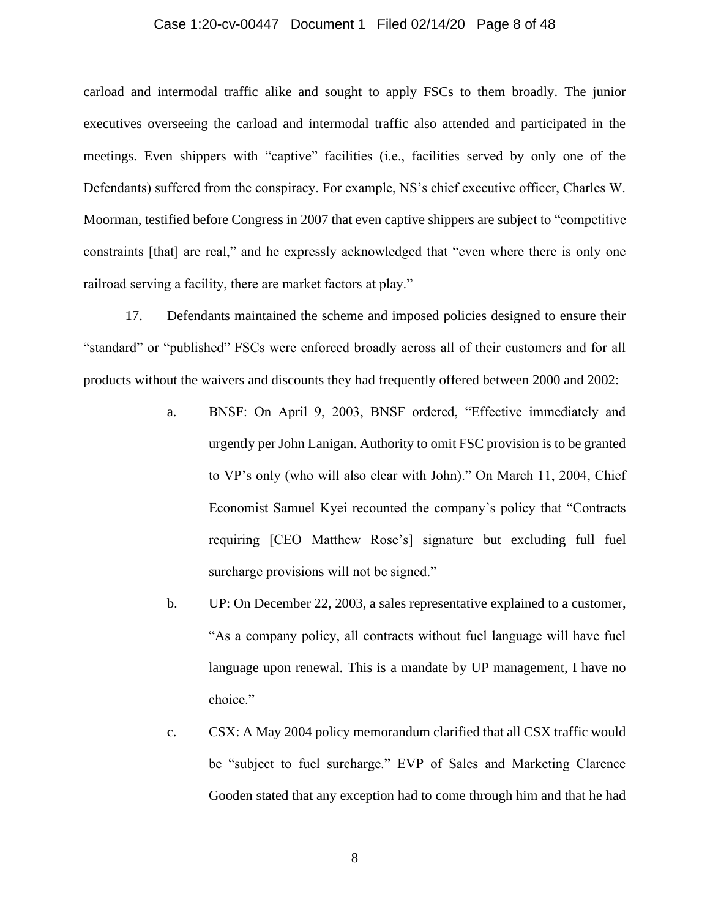#### Case 1:20-cv-00447 Document 1 Filed 02/14/20 Page 8 of 48

carload and intermodal traffic alike and sought to apply FSCs to them broadly. The junior executives overseeing the carload and intermodal traffic also attended and participated in the meetings. Even shippers with "captive" facilities (i.e., facilities served by only one of the Defendants) suffered from the conspiracy. For example, NS's chief executive officer, Charles W. Moorman, testified before Congress in 2007 that even captive shippers are subject to "competitive constraints [that] are real," and he expressly acknowledged that "even where there is only one railroad serving a facility, there are market factors at play."

17. Defendants maintained the scheme and imposed policies designed to ensure their "standard" or "published" FSCs were enforced broadly across all of their customers and for all products without the waivers and discounts they had frequently offered between 2000 and 2002:

- a. BNSF: On April 9, 2003, BNSF ordered, "Effective immediately and urgently per John Lanigan. Authority to omit FSC provision is to be granted to VP's only (who will also clear with John)." On March 11, 2004, Chief Economist Samuel Kyei recounted the company's policy that "Contracts requiring [CEO Matthew Rose's] signature but excluding full fuel surcharge provisions will not be signed."
- b. UP: On December 22, 2003, a sales representative explained to a customer, "As a company policy, all contracts without fuel language will have fuel language upon renewal. This is a mandate by UP management, I have no choice."
- c. CSX: A May 2004 policy memorandum clarified that all CSX traffic would be "subject to fuel surcharge." EVP of Sales and Marketing Clarence Gooden stated that any exception had to come through him and that he had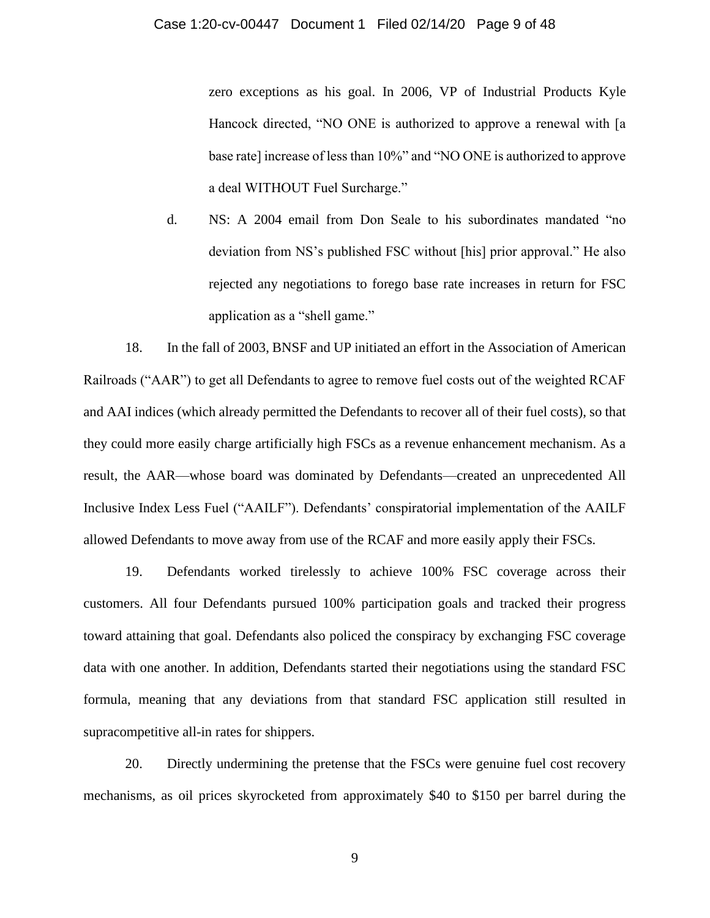zero exceptions as his goal. In 2006, VP of Industrial Products Kyle Hancock directed, "NO ONE is authorized to approve a renewal with [a base rate] increase of less than 10%" and "NO ONE is authorized to approve a deal WITHOUT Fuel Surcharge."

d. NS: A 2004 email from Don Seale to his subordinates mandated "no deviation from NS's published FSC without [his] prior approval." He also rejected any negotiations to forego base rate increases in return for FSC application as a "shell game."

18. In the fall of 2003, BNSF and UP initiated an effort in the Association of American Railroads ("AAR") to get all Defendants to agree to remove fuel costs out of the weighted RCAF and AAI indices (which already permitted the Defendants to recover all of their fuel costs), so that they could more easily charge artificially high FSCs as a revenue enhancement mechanism. As a result, the AAR—whose board was dominated by Defendants—created an unprecedented All Inclusive Index Less Fuel ("AAILF"). Defendants' conspiratorial implementation of the AAILF allowed Defendants to move away from use of the RCAF and more easily apply their FSCs.

19. Defendants worked tirelessly to achieve 100% FSC coverage across their customers. All four Defendants pursued 100% participation goals and tracked their progress toward attaining that goal. Defendants also policed the conspiracy by exchanging FSC coverage data with one another. In addition, Defendants started their negotiations using the standard FSC formula, meaning that any deviations from that standard FSC application still resulted in supracompetitive all-in rates for shippers.

20. Directly undermining the pretense that the FSCs were genuine fuel cost recovery mechanisms, as oil prices skyrocketed from approximately \$40 to \$150 per barrel during the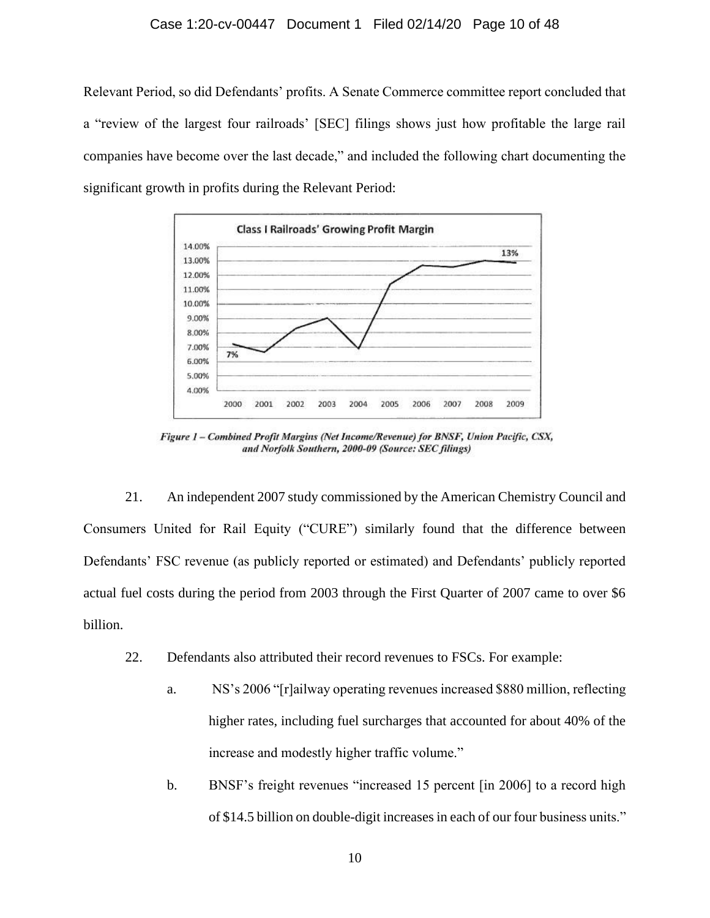#### Case 1:20-cv-00447 Document 1 Filed 02/14/20 Page 10 of 48

Relevant Period, so did Defendants' profits. A Senate Commerce committee report concluded that a "review of the largest four railroads' [SEC] filings shows just how profitable the large rail companies have become over the last decade," and included the following chart documenting the significant growth in profits during the Relevant Period:



Figure 1 - Combined Profit Margins (Net Income/Revenue) for BNSF, Union Pacific, CSX, and Norfolk Southern, 2000-09 (Source: SEC filings)

21. An independent 2007 study commissioned by the American Chemistry Council and Consumers United for Rail Equity ("CURE") similarly found that the difference between Defendants' FSC revenue (as publicly reported or estimated) and Defendants' publicly reported actual fuel costs during the period from 2003 through the First Quarter of 2007 came to over \$6 billion.

- 22. Defendants also attributed their record revenues to FSCs. For example:
	- a. NS's 2006 "[r]ailway operating revenues increased \$880 million, reflecting higher rates, including fuel surcharges that accounted for about 40% of the increase and modestly higher traffic volume."
	- b. BNSF's freight revenues "increased 15 percent [in 2006] to a record high of \$14.5 billion on double-digit increases in each of our four business units."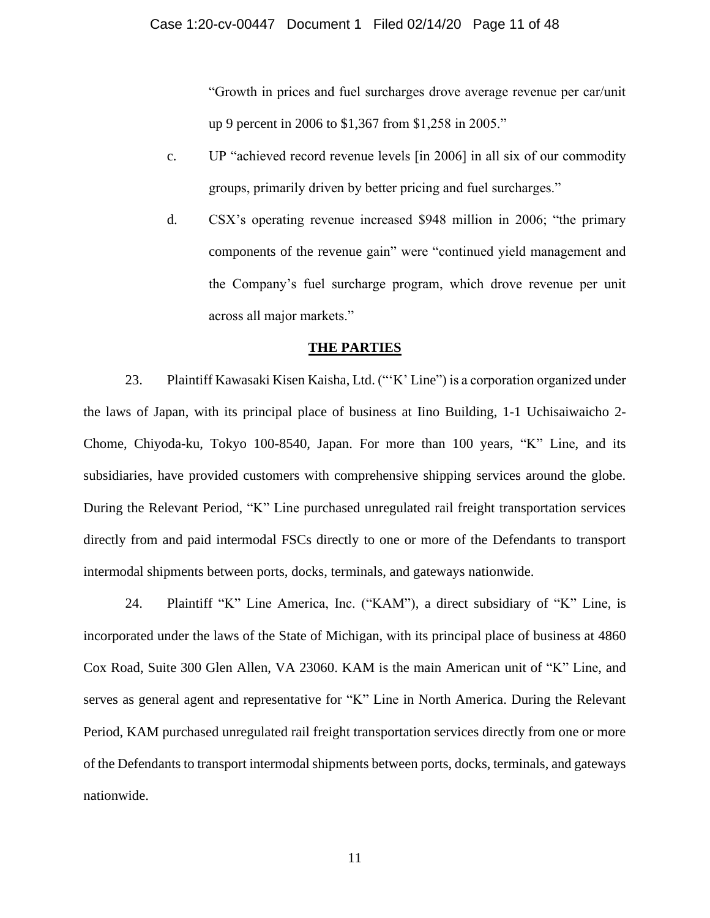"Growth in prices and fuel surcharges drove average revenue per car/unit up 9 percent in 2006 to \$1,367 from \$1,258 in 2005."

- c. UP "achieved record revenue levels [in 2006] in all six of our commodity groups, primarily driven by better pricing and fuel surcharges."
- d. CSX's operating revenue increased \$948 million in 2006; "the primary components of the revenue gain" were "continued yield management and the Company's fuel surcharge program, which drove revenue per unit across all major markets."

#### **THE PARTIES**

23. Plaintiff Kawasaki Kisen Kaisha, Ltd. ("'K' Line") is a corporation organized under the laws of Japan, with its principal place of business at Iino Building, 1-1 Uchisaiwaicho 2- Chome, Chiyoda-ku, Tokyo 100-8540, Japan. For more than 100 years, "K" Line, and its subsidiaries, have provided customers with comprehensive shipping services around the globe. During the Relevant Period, "K" Line purchased unregulated rail freight transportation services directly from and paid intermodal FSCs directly to one or more of the Defendants to transport intermodal shipments between ports, docks, terminals, and gateways nationwide.

24. Plaintiff "K" Line America, Inc. ("KAM"), a direct subsidiary of "K" Line, is incorporated under the laws of the State of Michigan, with its principal place of business at 4860 Cox Road, Suite 300 Glen Allen, VA 23060. KAM is the main American unit of "K" Line, and serves as general agent and representative for "K" Line in North America. During the Relevant Period, KAM purchased unregulated rail freight transportation services directly from one or more of the Defendants to transport intermodal shipments between ports, docks, terminals, and gateways nationwide.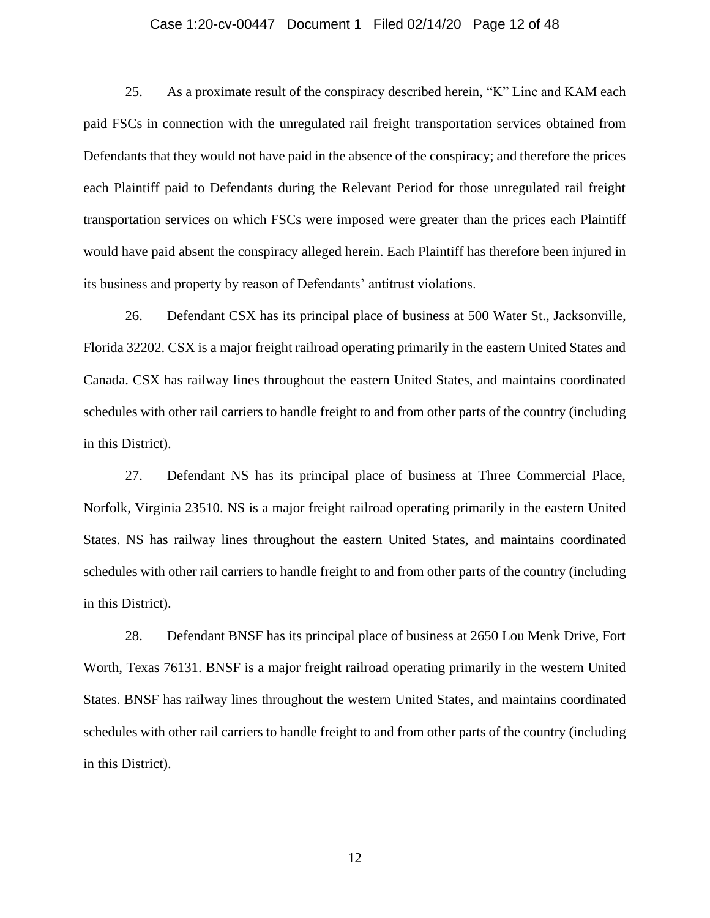#### Case 1:20-cv-00447 Document 1 Filed 02/14/20 Page 12 of 48

25. As a proximate result of the conspiracy described herein, "K" Line and KAM each paid FSCs in connection with the unregulated rail freight transportation services obtained from Defendants that they would not have paid in the absence of the conspiracy; and therefore the prices each Plaintiff paid to Defendants during the Relevant Period for those unregulated rail freight transportation services on which FSCs were imposed were greater than the prices each Plaintiff would have paid absent the conspiracy alleged herein. Each Plaintiff has therefore been injured in its business and property by reason of Defendants' antitrust violations.

26. Defendant CSX has its principal place of business at 500 Water St., Jacksonville, Florida 32202. CSX is a major freight railroad operating primarily in the eastern United States and Canada. CSX has railway lines throughout the eastern United States, and maintains coordinated schedules with other rail carriers to handle freight to and from other parts of the country (including in this District).

27. Defendant NS has its principal place of business at Three Commercial Place, Norfolk, Virginia 23510. NS is a major freight railroad operating primarily in the eastern United States. NS has railway lines throughout the eastern United States, and maintains coordinated schedules with other rail carriers to handle freight to and from other parts of the country (including in this District).

28. Defendant BNSF has its principal place of business at 2650 Lou Menk Drive, Fort Worth, Texas 76131. BNSF is a major freight railroad operating primarily in the western United States. BNSF has railway lines throughout the western United States, and maintains coordinated schedules with other rail carriers to handle freight to and from other parts of the country (including in this District).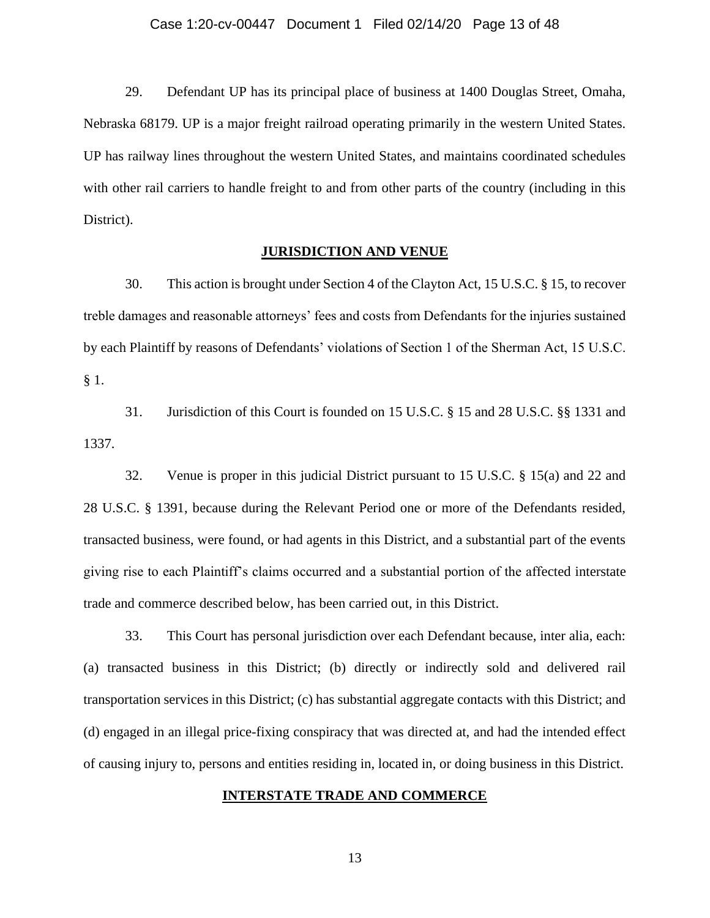#### Case 1:20-cv-00447 Document 1 Filed 02/14/20 Page 13 of 48

29. Defendant UP has its principal place of business at 1400 Douglas Street, Omaha, Nebraska 68179. UP is a major freight railroad operating primarily in the western United States. UP has railway lines throughout the western United States, and maintains coordinated schedules with other rail carriers to handle freight to and from other parts of the country (including in this District).

## **JURISDICTION AND VENUE**

30. This action is brought under Section 4 of the Clayton Act, 15 U.S.C. § 15, to recover treble damages and reasonable attorneys' fees and costs from Defendants for the injuries sustained by each Plaintiff by reasons of Defendants' violations of Section 1 of the Sherman Act, 15 U.S.C. § 1.

31. Jurisdiction of this Court is founded on 15 U.S.C. § 15 and 28 U.S.C. §§ 1331 and 1337.

32. Venue is proper in this judicial District pursuant to 15 U.S.C. § 15(a) and 22 and 28 U.S.C. § 1391, because during the Relevant Period one or more of the Defendants resided, transacted business, were found, or had agents in this District, and a substantial part of the events giving rise to each Plaintiff's claims occurred and a substantial portion of the affected interstate trade and commerce described below, has been carried out, in this District.

33. This Court has personal jurisdiction over each Defendant because, inter alia, each: (a) transacted business in this District; (b) directly or indirectly sold and delivered rail transportation services in this District; (c) has substantial aggregate contacts with this District; and (d) engaged in an illegal price-fixing conspiracy that was directed at, and had the intended effect of causing injury to, persons and entities residing in, located in, or doing business in this District.

## **INTERSTATE TRADE AND COMMERCE**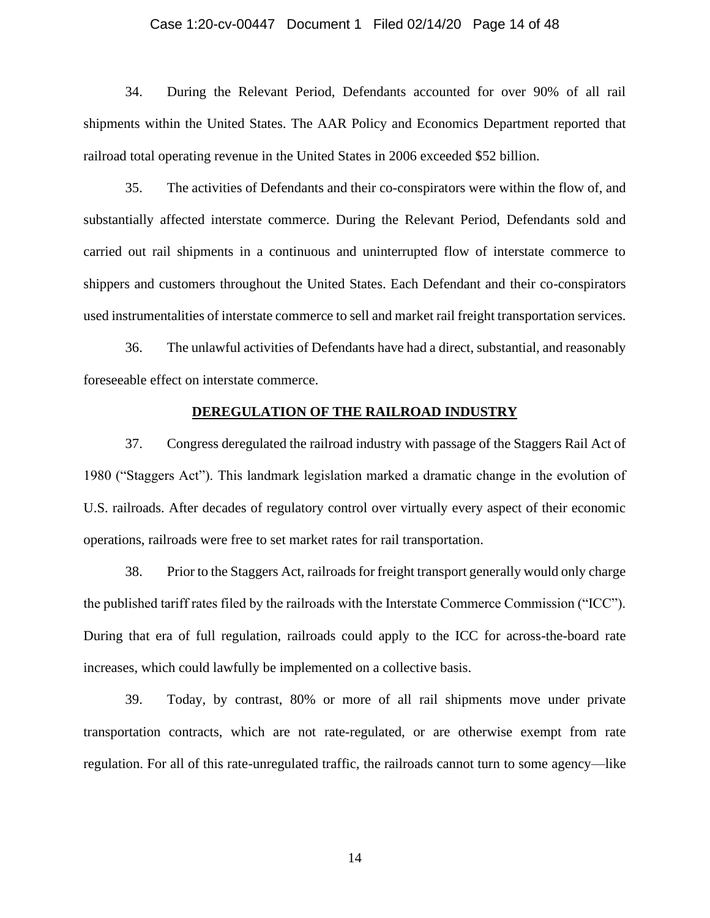#### Case 1:20-cv-00447 Document 1 Filed 02/14/20 Page 14 of 48

34. During the Relevant Period, Defendants accounted for over 90% of all rail shipments within the United States. The AAR Policy and Economics Department reported that railroad total operating revenue in the United States in 2006 exceeded \$52 billion.

35. The activities of Defendants and their co-conspirators were within the flow of, and substantially affected interstate commerce. During the Relevant Period, Defendants sold and carried out rail shipments in a continuous and uninterrupted flow of interstate commerce to shippers and customers throughout the United States. Each Defendant and their co-conspirators used instrumentalities of interstate commerce to sell and market rail freight transportation services.

36. The unlawful activities of Defendants have had a direct, substantial, and reasonably foreseeable effect on interstate commerce.

## **DEREGULATION OF THE RAILROAD INDUSTRY**

37. Congress deregulated the railroad industry with passage of the Staggers Rail Act of 1980 ("Staggers Act"). This landmark legislation marked a dramatic change in the evolution of U.S. railroads. After decades of regulatory control over virtually every aspect of their economic operations, railroads were free to set market rates for rail transportation.

38. Prior to the Staggers Act, railroads for freight transport generally would only charge the published tariff rates filed by the railroads with the Interstate Commerce Commission ("ICC"). During that era of full regulation, railroads could apply to the ICC for across-the-board rate increases, which could lawfully be implemented on a collective basis.

39. Today, by contrast, 80% or more of all rail shipments move under private transportation contracts, which are not rate-regulated, or are otherwise exempt from rate regulation. For all of this rate-unregulated traffic, the railroads cannot turn to some agency—like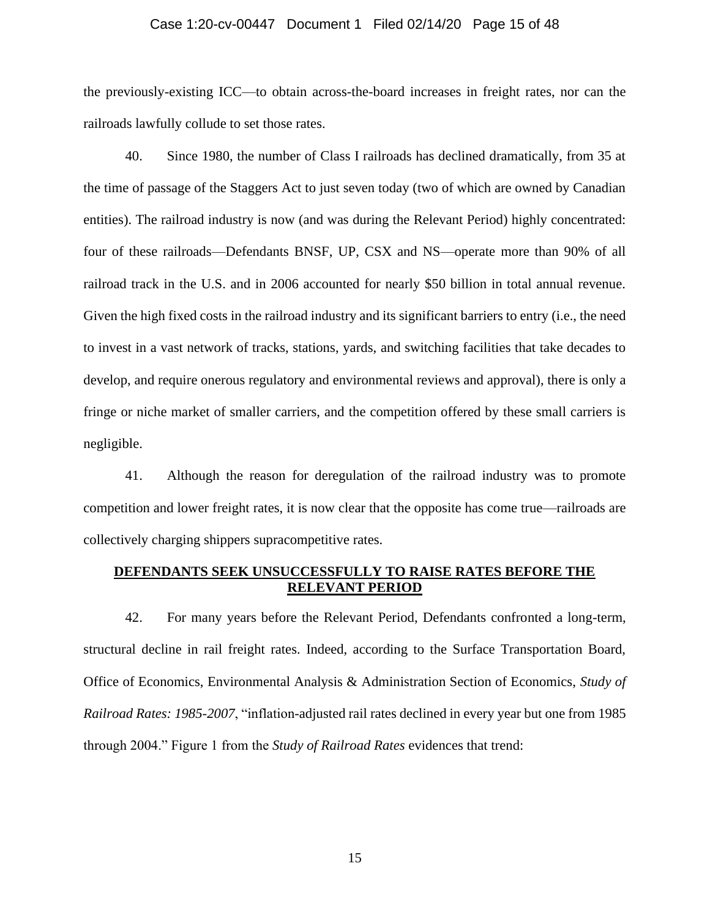#### Case 1:20-cv-00447 Document 1 Filed 02/14/20 Page 15 of 48

the previously-existing ICC—to obtain across-the-board increases in freight rates, nor can the railroads lawfully collude to set those rates.

40. Since 1980, the number of Class I railroads has declined dramatically, from 35 at the time of passage of the Staggers Act to just seven today (two of which are owned by Canadian entities). The railroad industry is now (and was during the Relevant Period) highly concentrated: four of these railroads—Defendants BNSF, UP, CSX and NS—operate more than 90% of all railroad track in the U.S. and in 2006 accounted for nearly \$50 billion in total annual revenue. Given the high fixed costs in the railroad industry and its significant barriers to entry (i.e., the need to invest in a vast network of tracks, stations, yards, and switching facilities that take decades to develop, and require onerous regulatory and environmental reviews and approval), there is only a fringe or niche market of smaller carriers, and the competition offered by these small carriers is negligible.

41. Although the reason for deregulation of the railroad industry was to promote competition and lower freight rates, it is now clear that the opposite has come true—railroads are collectively charging shippers supracompetitive rates.

## **DEFENDANTS SEEK UNSUCCESSFULLY TO RAISE RATES BEFORE THE RELEVANT PERIOD**

42. For many years before the Relevant Period, Defendants confronted a long-term, structural decline in rail freight rates. Indeed, according to the Surface Transportation Board, Office of Economics, Environmental Analysis & Administration Section of Economics, *Study of Railroad Rates: 1985-2007*, "inflation-adjusted rail rates declined in every year but one from 1985 through 2004." Figure 1 from the *Study of Railroad Rates* evidences that trend: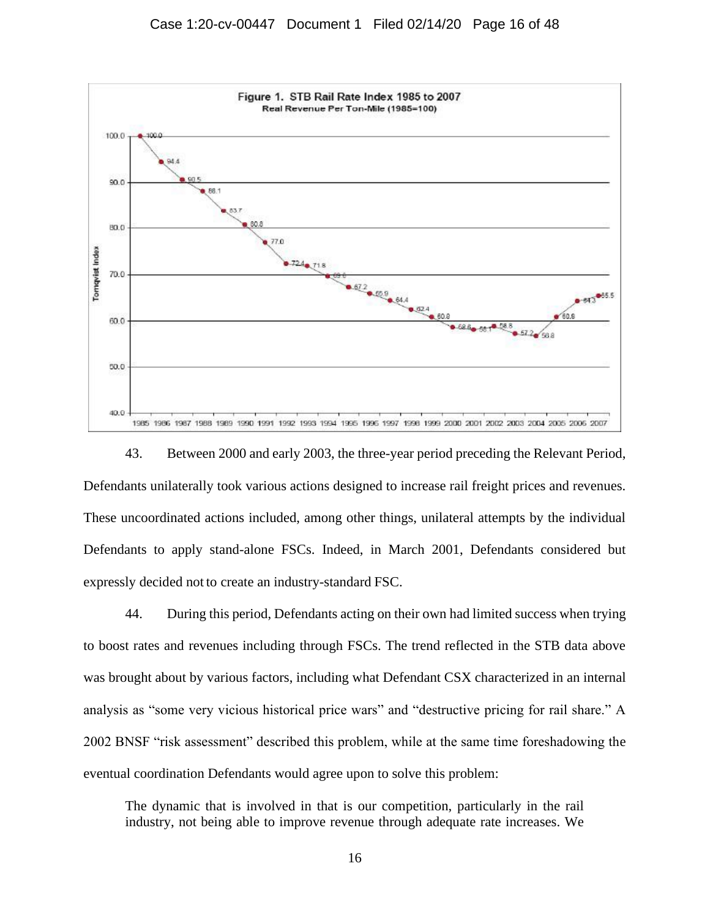

43. Between 2000 and early 2003, the three-year period preceding the Relevant Period, Defendants unilaterally took various actions designed to increase rail freight prices and revenues. These uncoordinated actions included, among other things, unilateral attempts by the individual Defendants to apply stand-alone FSCs. Indeed, in March 2001, Defendants considered but expressly decided not to create an industry-standard FSC.

44. During this period, Defendants acting on their own had limited success when trying to boost rates and revenues including through FSCs. The trend reflected in the STB data above was brought about by various factors, including what Defendant CSX characterized in an internal analysis as "some very vicious historical price wars" and "destructive pricing for rail share." A 2002 BNSF "risk assessment" described this problem, while at the same time foreshadowing the eventual coordination Defendants would agree upon to solve this problem:

The dynamic that is involved in that is our competition, particularly in the rail industry, not being able to improve revenue through adequate rate increases. We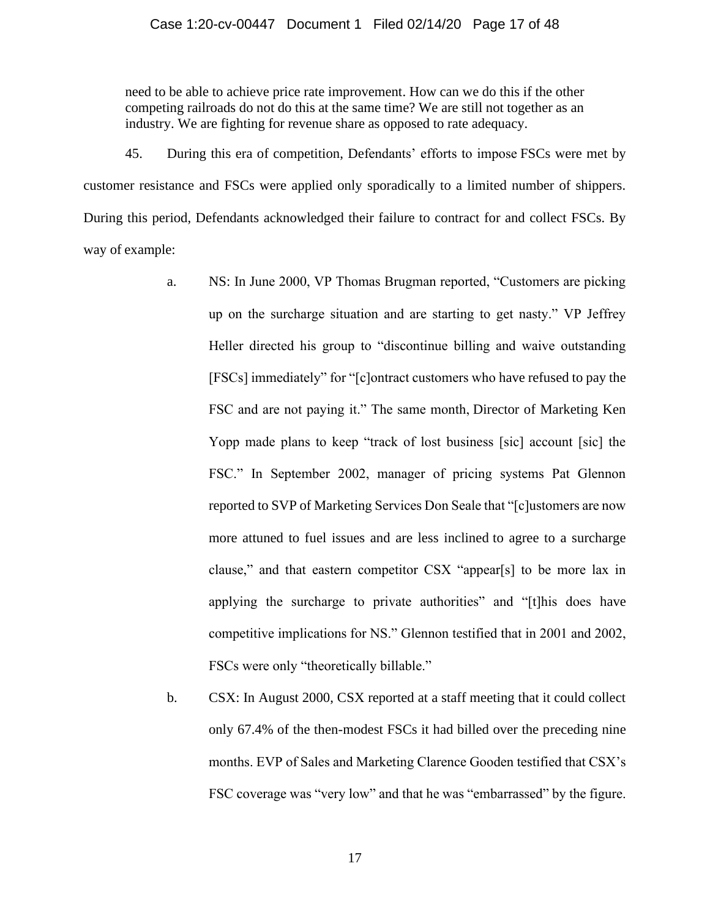#### Case 1:20-cv-00447 Document 1 Filed 02/14/20 Page 17 of 48

need to be able to achieve price rate improvement. How can we do this if the other competing railroads do not do this at the same time? We are still not together as an industry. We are fighting for revenue share as opposed to rate adequacy.

45. During this era of competition, Defendants' efforts to impose FSCs were met by customer resistance and FSCs were applied only sporadically to a limited number of shippers. During this period, Defendants acknowledged their failure to contract for and collect FSCs. By way of example:

- a. NS: In June 2000, VP Thomas Brugman reported, "Customers are picking up on the surcharge situation and are starting to get nasty." VP Jeffrey Heller directed his group to "discontinue billing and waive outstanding [FSCs] immediately" for "[c]ontract customers who have refused to pay the FSC and are not paying it." The same month, Director of Marketing Ken Yopp made plans to keep "track of lost business [sic] account [sic] the FSC." In September 2002, manager of pricing systems Pat Glennon reported to SVP of Marketing Services Don Seale that "[c]ustomers are now more attuned to fuel issues and are less inclined to agree to a surcharge clause," and that eastern competitor CSX "appear[s] to be more lax in applying the surcharge to private authorities" and "[t]his does have competitive implications for NS." Glennon testified that in 2001 and 2002, FSCs were only "theoretically billable."
- b. CSX: In August 2000, CSX reported at a staff meeting that it could collect only 67.4% of the then-modest FSCs it had billed over the preceding nine months. EVP of Sales and Marketing Clarence Gooden testified that CSX's FSC coverage was "very low" and that he was "embarrassed" by the figure.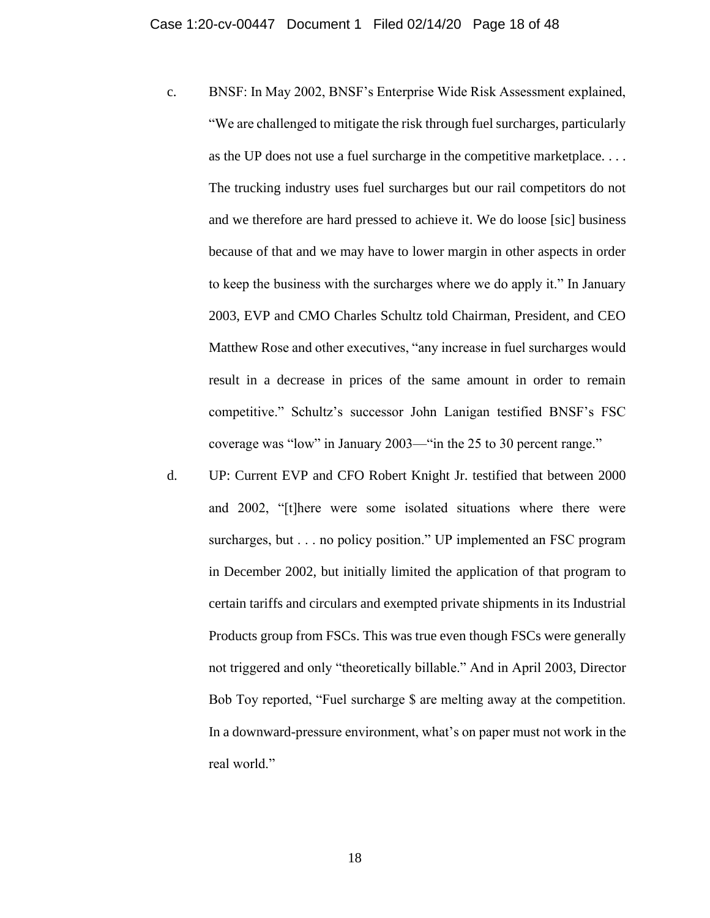- c. BNSF: In May 2002, BNSF's Enterprise Wide Risk Assessment explained, "We are challenged to mitigate the risk through fuel surcharges, particularly as the UP does not use a fuel surcharge in the competitive marketplace. . . . The trucking industry uses fuel surcharges but our rail competitors do not and we therefore are hard pressed to achieve it. We do loose [sic] business because of that and we may have to lower margin in other aspects in order to keep the business with the surcharges where we do apply it." In January 2003, EVP and CMO Charles Schultz told Chairman, President, and CEO Matthew Rose and other executives, "any increase in fuel surcharges would result in a decrease in prices of the same amount in order to remain competitive." Schultz's successor John Lanigan testified BNSF's FSC coverage was "low" in January 2003—"in the 25 to 30 percent range."
- d. UP: Current EVP and CFO Robert Knight Jr. testified that between 2000 and 2002, "[t]here were some isolated situations where there were surcharges, but . . . no policy position." UP implemented an FSC program in December 2002, but initially limited the application of that program to certain tariffs and circulars and exempted private shipments in its Industrial Products group from FSCs. This was true even though FSCs were generally not triggered and only "theoretically billable." And in April 2003, Director Bob Toy reported, "Fuel surcharge \$ are melting away at the competition. In a downward-pressure environment, what's on paper must not work in the real world."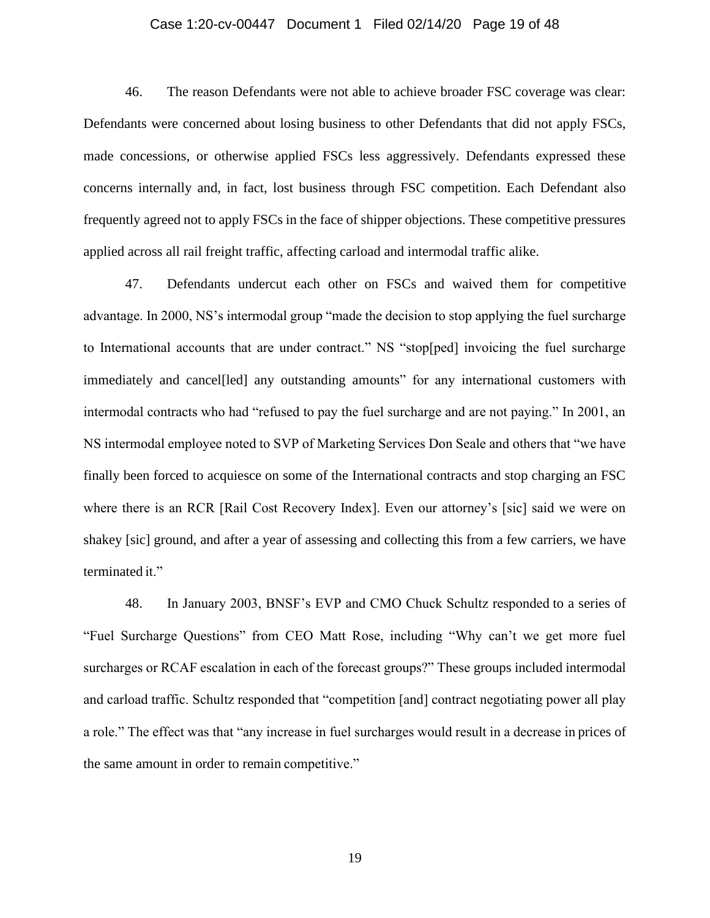#### Case 1:20-cv-00447 Document 1 Filed 02/14/20 Page 19 of 48

46. The reason Defendants were not able to achieve broader FSC coverage was clear: Defendants were concerned about losing business to other Defendants that did not apply FSCs, made concessions, or otherwise applied FSCs less aggressively. Defendants expressed these concerns internally and, in fact, lost business through FSC competition. Each Defendant also frequently agreed not to apply FSCs in the face of shipper objections. These competitive pressures applied across all rail freight traffic, affecting carload and intermodal traffic alike.

47. Defendants undercut each other on FSCs and waived them for competitive advantage. In 2000, NS's intermodal group "made the decision to stop applying the fuel surcharge to International accounts that are under contract." NS "stop[ped] invoicing the fuel surcharge immediately and cancel<sup>[led]</sup> any outstanding amounts" for any international customers with intermodal contracts who had "refused to pay the fuel surcharge and are not paying." In 2001, an NS intermodal employee noted to SVP of Marketing Services Don Seale and others that "we have finally been forced to acquiesce on some of the International contracts and stop charging an FSC where there is an RCR [Rail Cost Recovery Index]. Even our attorney's [sic] said we were on shakey [sic] ground, and after a year of assessing and collecting this from a few carriers, we have terminated it."

48. In January 2003, BNSF's EVP and CMO Chuck Schultz responded to a series of "Fuel Surcharge Questions" from CEO Matt Rose, including "Why can't we get more fuel surcharges or RCAF escalation in each of the forecast groups?" These groups included intermodal and carload traffic. Schultz responded that "competition [and] contract negotiating power all play a role." The effect was that "any increase in fuel surcharges would result in a decrease in prices of the same amount in order to remain competitive."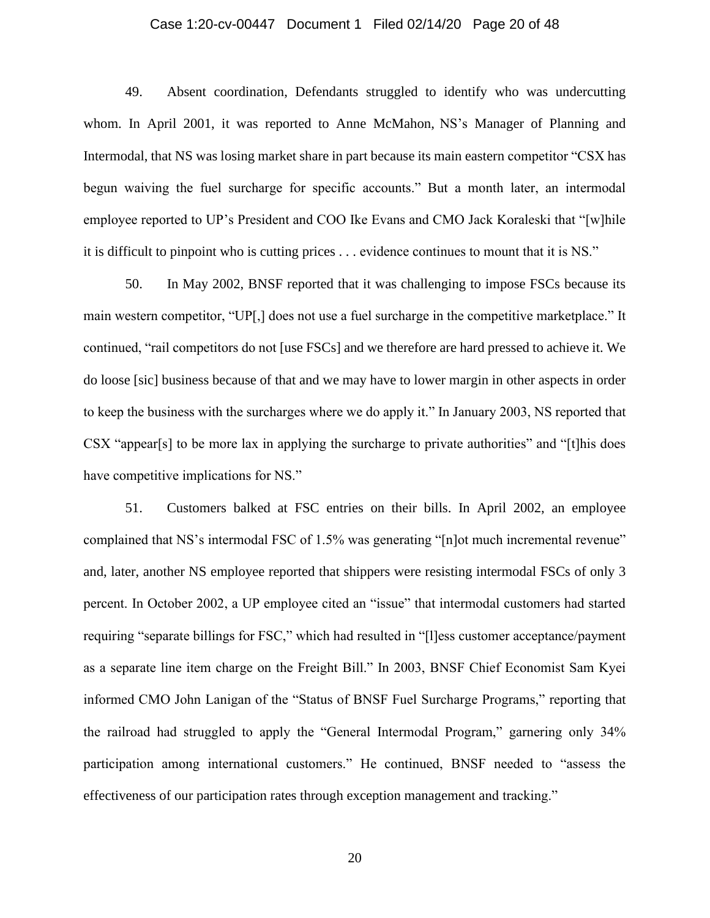#### Case 1:20-cv-00447 Document 1 Filed 02/14/20 Page 20 of 48

49. Absent coordination, Defendants struggled to identify who was undercutting whom. In April 2001, it was reported to Anne McMahon, NS's Manager of Planning and Intermodal, that NS was losing market share in part because its main eastern competitor "CSX has begun waiving the fuel surcharge for specific accounts." But a month later, an intermodal employee reported to UP's President and COO Ike Evans and CMO Jack Koraleski that "[w]hile it is difficult to pinpoint who is cutting prices . . . evidence continues to mount that it is NS."

50. In May 2002, BNSF reported that it was challenging to impose FSCs because its main western competitor, "UP[,] does not use a fuel surcharge in the competitive marketplace." It continued, "rail competitors do not [use FSCs] and we therefore are hard pressed to achieve it. We do loose [sic] business because of that and we may have to lower margin in other aspects in order to keep the business with the surcharges where we do apply it." In January 2003, NS reported that CSX "appear[s] to be more lax in applying the surcharge to private authorities" and "[t]his does have competitive implications for NS."

51. Customers balked at FSC entries on their bills. In April 2002, an employee complained that NS's intermodal FSC of 1.5% was generating "[n]ot much incremental revenue" and, later, another NS employee reported that shippers were resisting intermodal FSCs of only 3 percent. In October 2002, a UP employee cited an "issue" that intermodal customers had started requiring "separate billings for FSC," which had resulted in "[l]ess customer acceptance/payment as a separate line item charge on the Freight Bill." In 2003, BNSF Chief Economist Sam Kyei informed CMO John Lanigan of the "Status of BNSF Fuel Surcharge Programs," reporting that the railroad had struggled to apply the "General Intermodal Program," garnering only 34% participation among international customers." He continued, BNSF needed to "assess the effectiveness of our participation rates through exception management and tracking."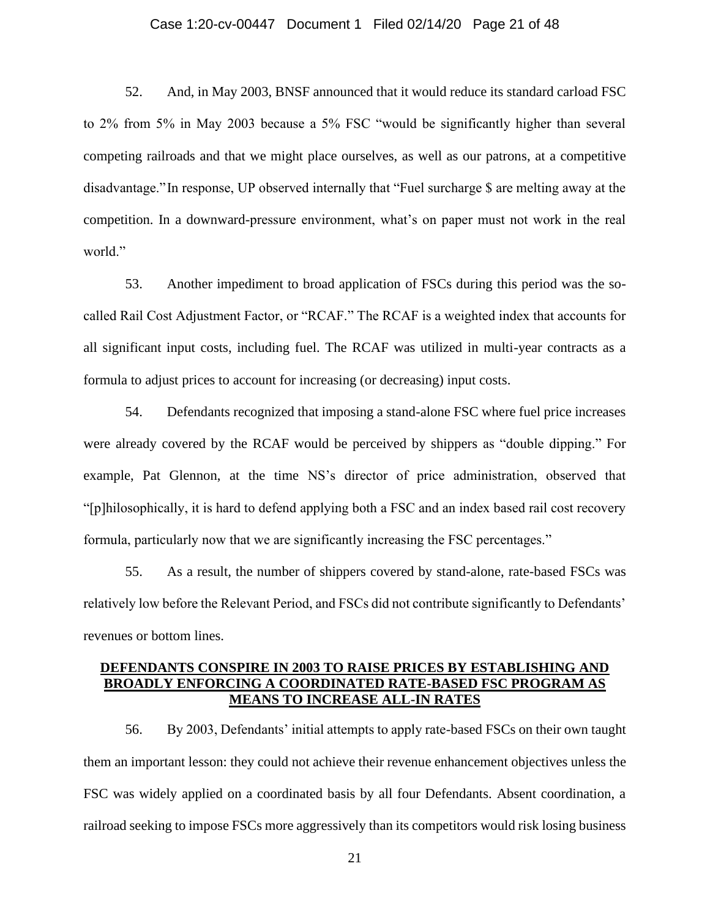#### Case 1:20-cv-00447 Document 1 Filed 02/14/20 Page 21 of 48

52. And, in May 2003, BNSF announced that it would reduce its standard carload FSC to 2% from 5% in May 2003 because a 5% FSC "would be significantly higher than several competing railroads and that we might place ourselves, as well as our patrons, at a competitive disadvantage."In response, UP observed internally that "Fuel surcharge \$ are melting away at the competition. In a downward-pressure environment, what's on paper must not work in the real world."

53. Another impediment to broad application of FSCs during this period was the socalled Rail Cost Adjustment Factor, or "RCAF." The RCAF is a weighted index that accounts for all significant input costs, including fuel. The RCAF was utilized in multi-year contracts as a formula to adjust prices to account for increasing (or decreasing) input costs.

54. Defendants recognized that imposing a stand-alone FSC where fuel price increases were already covered by the RCAF would be perceived by shippers as "double dipping." For example, Pat Glennon, at the time NS's director of price administration, observed that "[p]hilosophically, it is hard to defend applying both a FSC and an index based rail cost recovery formula, particularly now that we are significantly increasing the FSC percentages."

55. As a result, the number of shippers covered by stand-alone, rate-based FSCs was relatively low before the Relevant Period, and FSCs did not contribute significantly to Defendants' revenues or bottom lines.

# **DEFENDANTS CONSPIRE IN 2003 TO RAISE PRICES BY ESTABLISHING AND BROADLY ENFORCING A COORDINATED RATE-BASED FSC PROGRAM AS MEANS TO INCREASE ALL-IN RATES**

56. By 2003, Defendants' initial attempts to apply rate-based FSCs on their own taught them an important lesson: they could not achieve their revenue enhancement objectives unless the FSC was widely applied on a coordinated basis by all four Defendants. Absent coordination, a railroad seeking to impose FSCs more aggressively than its competitors would risk losing business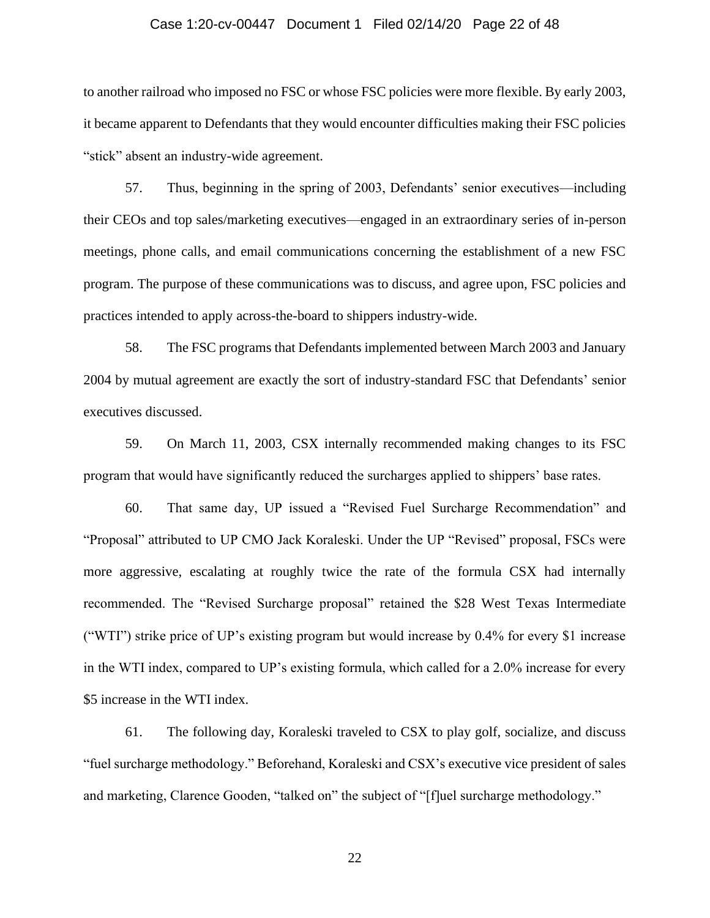#### Case 1:20-cv-00447 Document 1 Filed 02/14/20 Page 22 of 48

to another railroad who imposed no FSC or whose FSC policies were more flexible. By early 2003, it became apparent to Defendants that they would encounter difficulties making their FSC policies "stick" absent an industry-wide agreement.

57. Thus, beginning in the spring of 2003, Defendants' senior executives—including their CEOs and top sales/marketing executives—engaged in an extraordinary series of in-person meetings, phone calls, and email communications concerning the establishment of a new FSC program. The purpose of these communications was to discuss, and agree upon, FSC policies and practices intended to apply across-the-board to shippers industry-wide.

58. The FSC programs that Defendants implemented between March 2003 and January 2004 by mutual agreement are exactly the sort of industry-standard FSC that Defendants' senior executives discussed.

59. On March 11, 2003, CSX internally recommended making changes to its FSC program that would have significantly reduced the surcharges applied to shippers' base rates.

60. That same day, UP issued a "Revised Fuel Surcharge Recommendation" and "Proposal" attributed to UP CMO Jack Koraleski. Under the UP "Revised" proposal, FSCs were more aggressive, escalating at roughly twice the rate of the formula CSX had internally recommended. The "Revised Surcharge proposal" retained the \$28 West Texas Intermediate ("WTI") strike price of UP's existing program but would increase by 0.4% for every \$1 increase in the WTI index, compared to UP's existing formula, which called for a 2.0% increase for every \$5 increase in the WTI index.

61. The following day, Koraleski traveled to CSX to play golf, socialize, and discuss "fuel surcharge methodology." Beforehand, Koraleski and CSX's executive vice president of sales and marketing, Clarence Gooden, "talked on" the subject of "[f]uel surcharge methodology."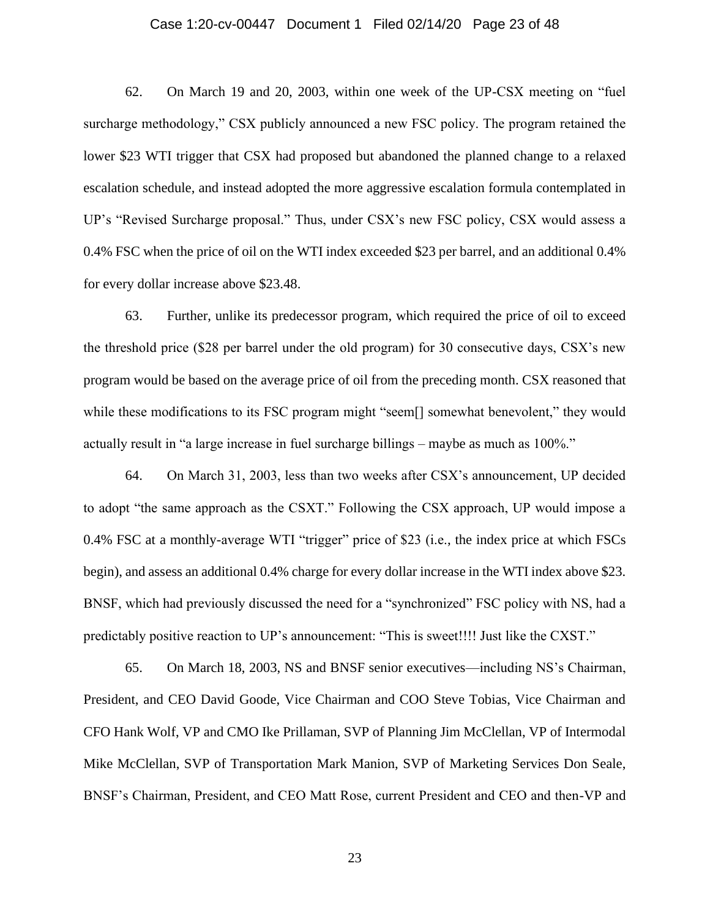#### Case 1:20-cv-00447 Document 1 Filed 02/14/20 Page 23 of 48

62. On March 19 and 20, 2003, within one week of the UP-CSX meeting on "fuel surcharge methodology," CSX publicly announced a new FSC policy. The program retained the lower \$23 WTI trigger that CSX had proposed but abandoned the planned change to a relaxed escalation schedule, and instead adopted the more aggressive escalation formula contemplated in UP's "Revised Surcharge proposal." Thus, under CSX's new FSC policy, CSX would assess a 0.4% FSC when the price of oil on the WTI index exceeded \$23 per barrel, and an additional 0.4% for every dollar increase above \$23.48.

63. Further, unlike its predecessor program, which required the price of oil to exceed the threshold price (\$28 per barrel under the old program) for 30 consecutive days, CSX's new program would be based on the average price of oil from the preceding month. CSX reasoned that while these modifications to its FSC program might "seem<sup>[]</sup> somewhat benevolent," they would actually result in "a large increase in fuel surcharge billings – maybe as much as 100%."

64. On March 31, 2003, less than two weeks after CSX's announcement, UP decided to adopt "the same approach as the CSXT." Following the CSX approach, UP would impose a 0.4% FSC at a monthly-average WTI "trigger" price of \$23 (i.e., the index price at which FSCs begin), and assess an additional 0.4% charge for every dollar increase in the WTI index above \$23. BNSF, which had previously discussed the need for a "synchronized" FSC policy with NS, had a predictably positive reaction to UP's announcement: "This is sweet!!!! Just like the CXST."

65. On March 18, 2003, NS and BNSF senior executives—including NS's Chairman, President, and CEO David Goode, Vice Chairman and COO Steve Tobias, Vice Chairman and CFO Hank Wolf, VP and CMO Ike Prillaman, SVP of Planning Jim McClellan, VP of Intermodal Mike McClellan, SVP of Transportation Mark Manion, SVP of Marketing Services Don Seale, BNSF's Chairman, President, and CEO Matt Rose, current President and CEO and then-VP and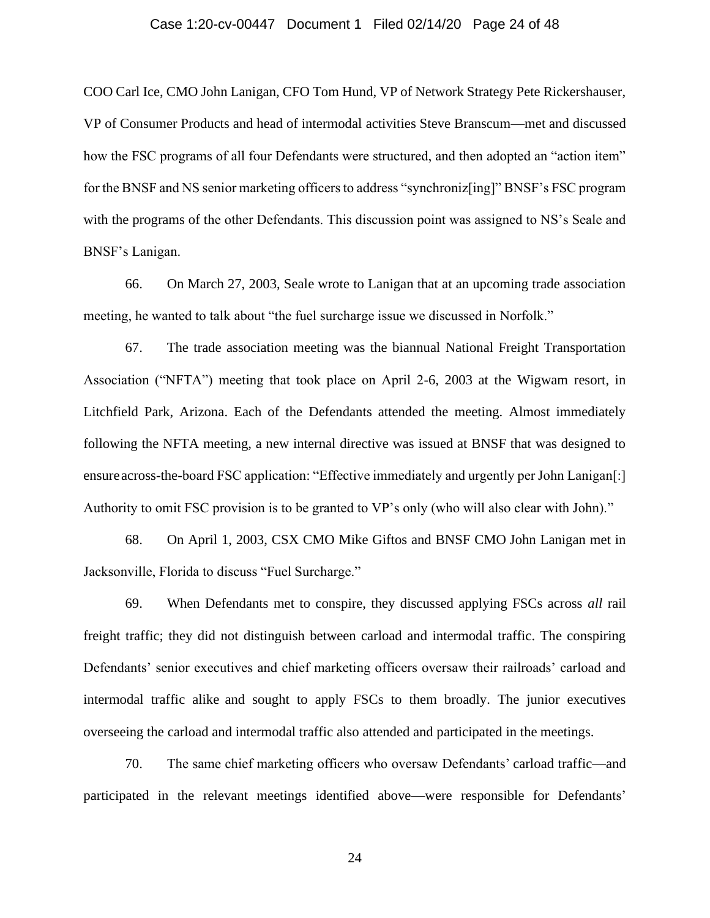#### Case 1:20-cv-00447 Document 1 Filed 02/14/20 Page 24 of 48

COO Carl Ice, CMO John Lanigan, CFO Tom Hund, VP of Network Strategy Pete Rickershauser, VP of Consumer Products and head of intermodal activities Steve Branscum—met and discussed how the FSC programs of all four Defendants were structured, and then adopted an "action item" for the BNSF and NS senior marketing officers to address "synchroniz[ing]" BNSF's FSC program with the programs of the other Defendants. This discussion point was assigned to NS's Seale and BNSF's Lanigan.

66. On March 27, 2003, Seale wrote to Lanigan that at an upcoming trade association meeting, he wanted to talk about "the fuel surcharge issue we discussed in Norfolk."

67. The trade association meeting was the biannual National Freight Transportation Association ("NFTA") meeting that took place on April 2-6, 2003 at the Wigwam resort, in Litchfield Park, Arizona. Each of the Defendants attended the meeting. Almost immediately following the NFTA meeting, a new internal directive was issued at BNSF that was designed to ensure across-the-board FSC application: "Effective immediately and urgently per John Lanigan[:] Authority to omit FSC provision is to be granted to VP's only (who will also clear with John)."

68. On April 1, 2003, CSX CMO Mike Giftos and BNSF CMO John Lanigan met in Jacksonville, Florida to discuss "Fuel Surcharge."

69. When Defendants met to conspire, they discussed applying FSCs across *all* rail freight traffic; they did not distinguish between carload and intermodal traffic. The conspiring Defendants' senior executives and chief marketing officers oversaw their railroads' carload and intermodal traffic alike and sought to apply FSCs to them broadly. The junior executives overseeing the carload and intermodal traffic also attended and participated in the meetings.

70. The same chief marketing officers who oversaw Defendants' carload traffic—and participated in the relevant meetings identified above—were responsible for Defendants'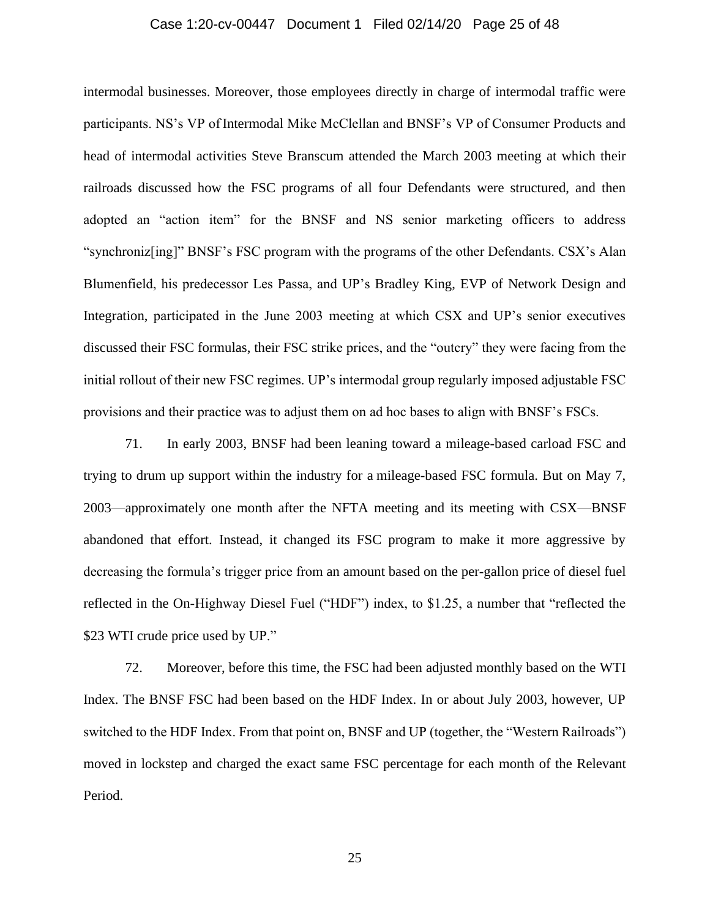#### Case 1:20-cv-00447 Document 1 Filed 02/14/20 Page 25 of 48

intermodal businesses. Moreover, those employees directly in charge of intermodal traffic were participants. NS's VP of Intermodal Mike McClellan and BNSF's VP of Consumer Products and head of intermodal activities Steve Branscum attended the March 2003 meeting at which their railroads discussed how the FSC programs of all four Defendants were structured, and then adopted an "action item" for the BNSF and NS senior marketing officers to address "synchroniz[ing]" BNSF's FSC program with the programs of the other Defendants. CSX's Alan Blumenfield, his predecessor Les Passa, and UP's Bradley King, EVP of Network Design and Integration, participated in the June 2003 meeting at which CSX and UP's senior executives discussed their FSC formulas, their FSC strike prices, and the "outcry" they were facing from the initial rollout of their new FSC regimes. UP's intermodal group regularly imposed adjustable FSC provisions and their practice was to adjust them on ad hoc bases to align with BNSF's FSCs.

71. In early 2003, BNSF had been leaning toward a mileage-based carload FSC and trying to drum up support within the industry for a mileage-based FSC formula. But on May 7, 2003—approximately one month after the NFTA meeting and its meeting with CSX—BNSF abandoned that effort. Instead, it changed its FSC program to make it more aggressive by decreasing the formula's trigger price from an amount based on the per-gallon price of diesel fuel reflected in the On-Highway Diesel Fuel ("HDF") index, to \$1.25, a number that "reflected the \$23 WTI crude price used by UP."

72. Moreover, before this time, the FSC had been adjusted monthly based on the WTI Index. The BNSF FSC had been based on the HDF Index. In or about July 2003, however, UP switched to the HDF Index. From that point on, BNSF and UP (together, the "Western Railroads") moved in lockstep and charged the exact same FSC percentage for each month of the Relevant Period.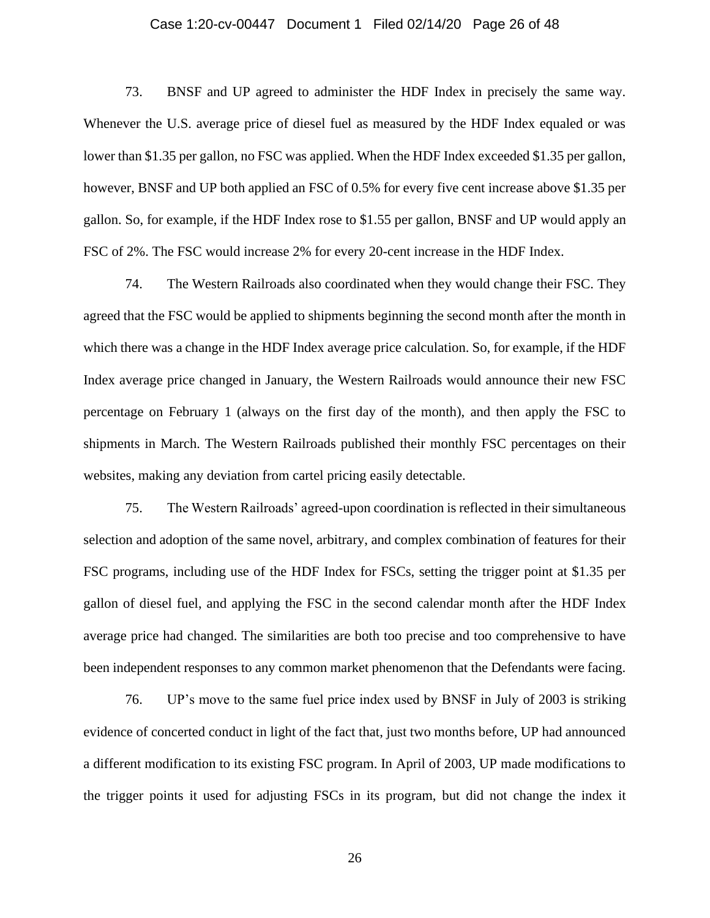#### Case 1:20-cv-00447 Document 1 Filed 02/14/20 Page 26 of 48

73. BNSF and UP agreed to administer the HDF Index in precisely the same way. Whenever the U.S. average price of diesel fuel as measured by the HDF Index equaled or was lower than \$1.35 per gallon, no FSC was applied. When the HDF Index exceeded \$1.35 per gallon, however, BNSF and UP both applied an FSC of 0.5% for every five cent increase above \$1.35 per gallon. So, for example, if the HDF Index rose to \$1.55 per gallon, BNSF and UP would apply an FSC of 2%. The FSC would increase 2% for every 20-cent increase in the HDF Index.

74. The Western Railroads also coordinated when they would change their FSC. They agreed that the FSC would be applied to shipments beginning the second month after the month in which there was a change in the HDF Index average price calculation. So, for example, if the HDF Index average price changed in January, the Western Railroads would announce their new FSC percentage on February 1 (always on the first day of the month), and then apply the FSC to shipments in March. The Western Railroads published their monthly FSC percentages on their websites, making any deviation from cartel pricing easily detectable.

75. The Western Railroads' agreed-upon coordination is reflected in their simultaneous selection and adoption of the same novel, arbitrary, and complex combination of features for their FSC programs, including use of the HDF Index for FSCs, setting the trigger point at \$1.35 per gallon of diesel fuel, and applying the FSC in the second calendar month after the HDF Index average price had changed. The similarities are both too precise and too comprehensive to have been independent responses to any common market phenomenon that the Defendants were facing.

76. UP's move to the same fuel price index used by BNSF in July of 2003 is striking evidence of concerted conduct in light of the fact that, just two months before, UP had announced a different modification to its existing FSC program. In April of 2003, UP made modifications to the trigger points it used for adjusting FSCs in its program, but did not change the index it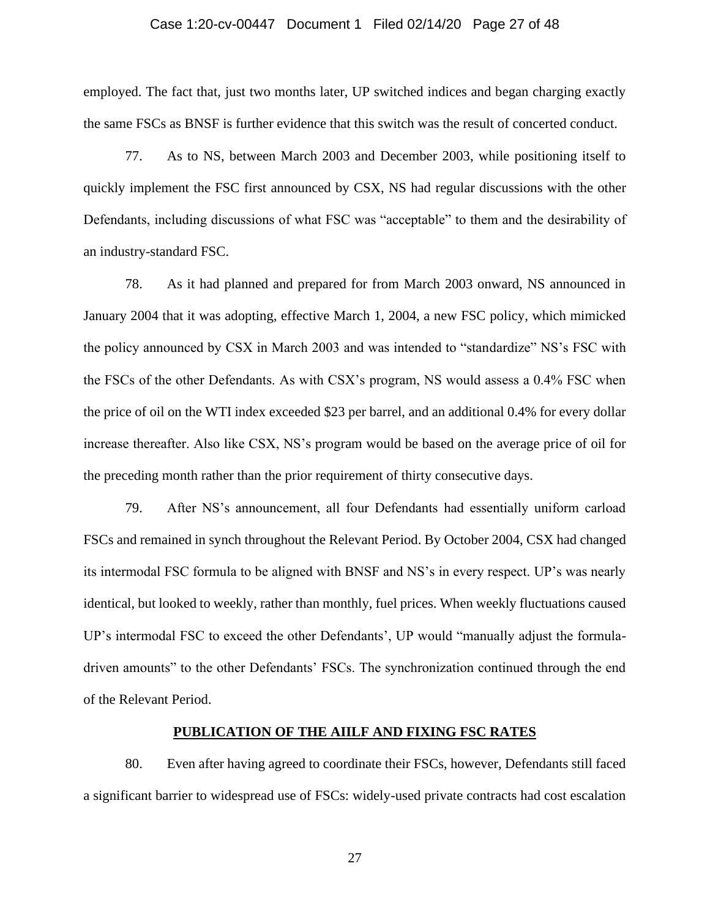#### Case 1:20-cv-00447 Document 1 Filed 02/14/20 Page 27 of 48

employed. The fact that, just two months later, UP switched indices and began charging exactly the same FSCs as BNSF is further evidence that this switch was the result of concerted conduct.

77. As to NS, between March 2003 and December 2003, while positioning itself to quickly implement the FSC first announced by CSX, NS had regular discussions with the other Defendants, including discussions of what FSC was "acceptable" to them and the desirability of an industry-standard FSC.

78. As it had planned and prepared for from March 2003 onward, NS announced in January 2004 that it was adopting, effective March 1, 2004, a new FSC policy, which mimicked the policy announced by CSX in March 2003 and was intended to "standardize" NS's FSC with the FSCs of the other Defendants. As with CSX's program, NS would assess a 0.4% FSC when the price of oil on the WTI index exceeded \$23 per barrel, and an additional 0.4% for every dollar increase thereafter. Also like CSX, NS's program would be based on the average price of oil for the preceding month rather than the prior requirement of thirty consecutive days.

79. After NS's announcement, all four Defendants had essentially uniform carload FSCs and remained in synch throughout the Relevant Period. By October 2004, CSX had changed its intermodal FSC formula to be aligned with BNSF and NS's in every respect. UP's was nearly identical, but looked to weekly, rather than monthly, fuel prices. When weekly fluctuations caused UP's intermodal FSC to exceed the other Defendants', UP would "manually adjust the formuladriven amounts" to the other Defendants' FSCs. The synchronization continued through the end of the Relevant Period.

#### **PUBLICATION OF THE AIILF AND FIXING FSC RATES**

80. Even after having agreed to coordinate their FSCs, however, Defendants still faced a significant barrier to widespread use of FSCs: widely-used private contracts had cost escalation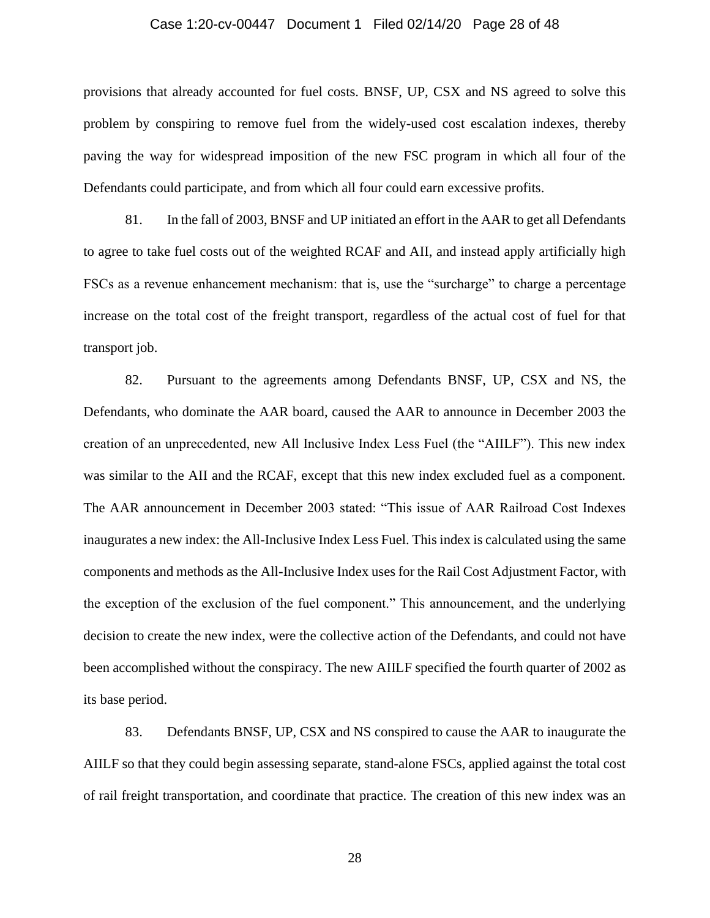#### Case 1:20-cv-00447 Document 1 Filed 02/14/20 Page 28 of 48

provisions that already accounted for fuel costs. BNSF, UP, CSX and NS agreed to solve this problem by conspiring to remove fuel from the widely-used cost escalation indexes, thereby paving the way for widespread imposition of the new FSC program in which all four of the Defendants could participate, and from which all four could earn excessive profits.

81. In the fall of 2003, BNSF and UP initiated an effort in the AAR to get all Defendants to agree to take fuel costs out of the weighted RCAF and AII, and instead apply artificially high FSCs as a revenue enhancement mechanism: that is, use the "surcharge" to charge a percentage increase on the total cost of the freight transport, regardless of the actual cost of fuel for that transport job.

82. Pursuant to the agreements among Defendants BNSF, UP, CSX and NS, the Defendants, who dominate the AAR board, caused the AAR to announce in December 2003 the creation of an unprecedented, new All Inclusive Index Less Fuel (the "AIILF"). This new index was similar to the AII and the RCAF, except that this new index excluded fuel as a component. The AAR announcement in December 2003 stated: "This issue of AAR Railroad Cost Indexes inaugurates a new index: the All-Inclusive Index Less Fuel. This index is calculated using the same components and methods as the All-Inclusive Index uses for the Rail Cost Adjustment Factor, with the exception of the exclusion of the fuel component." This announcement, and the underlying decision to create the new index, were the collective action of the Defendants, and could not have been accomplished without the conspiracy. The new AIILF specified the fourth quarter of 2002 as its base period.

83. Defendants BNSF, UP, CSX and NS conspired to cause the AAR to inaugurate the AIILF so that they could begin assessing separate, stand-alone FSCs, applied against the total cost of rail freight transportation, and coordinate that practice. The creation of this new index was an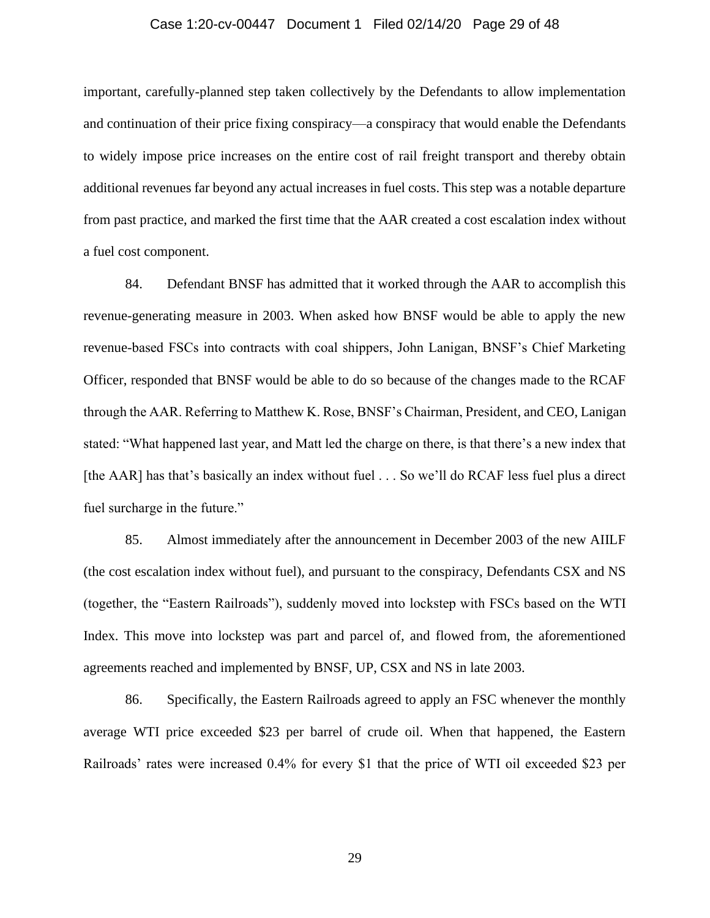#### Case 1:20-cv-00447 Document 1 Filed 02/14/20 Page 29 of 48

important, carefully-planned step taken collectively by the Defendants to allow implementation and continuation of their price fixing conspiracy—a conspiracy that would enable the Defendants to widely impose price increases on the entire cost of rail freight transport and thereby obtain additional revenues far beyond any actual increases in fuel costs. This step was a notable departure from past practice, and marked the first time that the AAR created a cost escalation index without a fuel cost component.

84. Defendant BNSF has admitted that it worked through the AAR to accomplish this revenue-generating measure in 2003. When asked how BNSF would be able to apply the new revenue-based FSCs into contracts with coal shippers, John Lanigan, BNSF's Chief Marketing Officer, responded that BNSF would be able to do so because of the changes made to the RCAF through the AAR. Referring to Matthew K. Rose, BNSF's Chairman, President, and CEO, Lanigan stated: "What happened last year, and Matt led the charge on there, is that there's a new index that [the AAR] has that's basically an index without fuel . . . So we'll do RCAF less fuel plus a direct fuel surcharge in the future."

85. Almost immediately after the announcement in December 2003 of the new AIILF (the cost escalation index without fuel), and pursuant to the conspiracy, Defendants CSX and NS (together, the "Eastern Railroads"), suddenly moved into lockstep with FSCs based on the WTI Index. This move into lockstep was part and parcel of, and flowed from, the aforementioned agreements reached and implemented by BNSF, UP, CSX and NS in late 2003.

86. Specifically, the Eastern Railroads agreed to apply an FSC whenever the monthly average WTI price exceeded \$23 per barrel of crude oil. When that happened, the Eastern Railroads' rates were increased 0.4% for every \$1 that the price of WTI oil exceeded \$23 per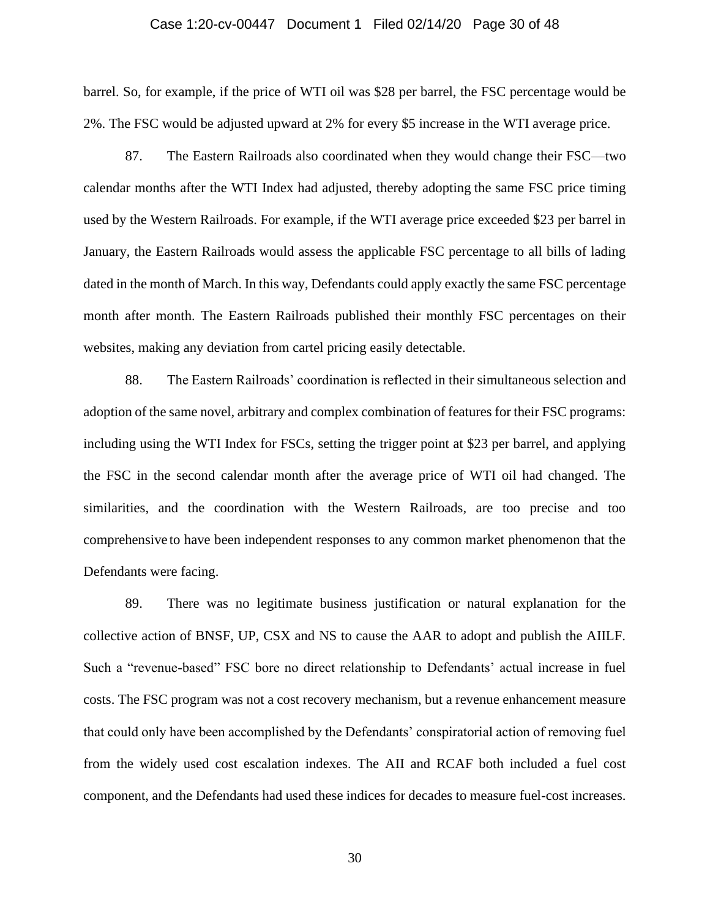#### Case 1:20-cv-00447 Document 1 Filed 02/14/20 Page 30 of 48

barrel. So, for example, if the price of WTI oil was \$28 per barrel, the FSC percentage would be 2%. The FSC would be adjusted upward at 2% for every \$5 increase in the WTI average price.

87. The Eastern Railroads also coordinated when they would change their FSC—two calendar months after the WTI Index had adjusted, thereby adopting the same FSC price timing used by the Western Railroads. For example, if the WTI average price exceeded \$23 per barrel in January, the Eastern Railroads would assess the applicable FSC percentage to all bills of lading dated in the month of March. In this way, Defendants could apply exactly the same FSC percentage month after month. The Eastern Railroads published their monthly FSC percentages on their websites, making any deviation from cartel pricing easily detectable.

88. The Eastern Railroads' coordination is reflected in their simultaneous selection and adoption of the same novel, arbitrary and complex combination of features for their FSC programs: including using the WTI Index for FSCs, setting the trigger point at \$23 per barrel, and applying the FSC in the second calendar month after the average price of WTI oil had changed. The similarities, and the coordination with the Western Railroads, are too precise and too comprehensive to have been independent responses to any common market phenomenon that the Defendants were facing.

89. There was no legitimate business justification or natural explanation for the collective action of BNSF, UP, CSX and NS to cause the AAR to adopt and publish the AIILF. Such a "revenue-based" FSC bore no direct relationship to Defendants' actual increase in fuel costs. The FSC program was not a cost recovery mechanism, but a revenue enhancement measure that could only have been accomplished by the Defendants' conspiratorial action of removing fuel from the widely used cost escalation indexes. The AII and RCAF both included a fuel cost component, and the Defendants had used these indices for decades to measure fuel-cost increases.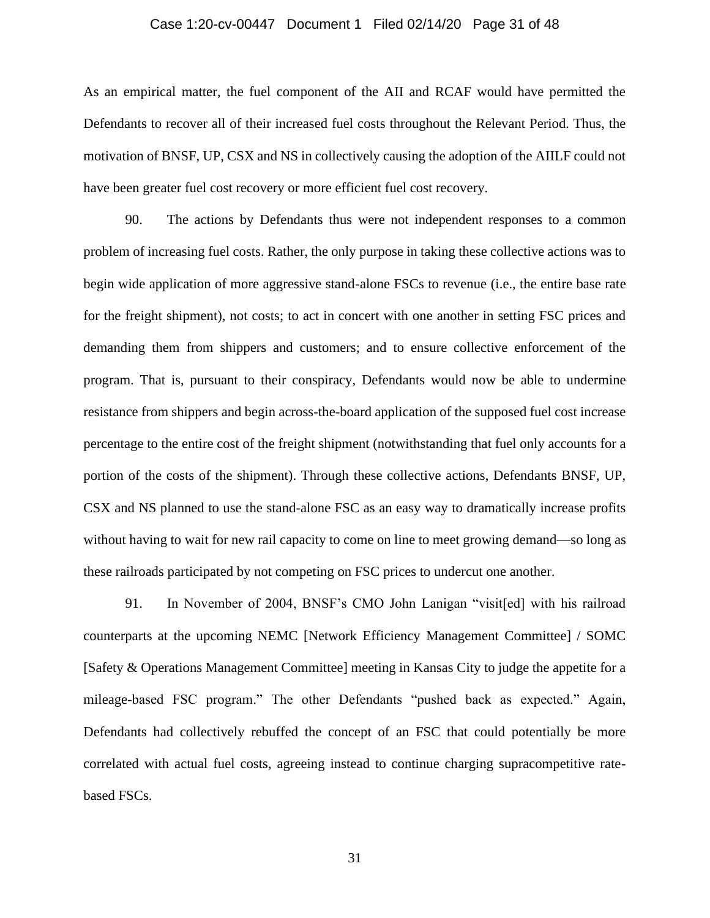#### Case 1:20-cv-00447 Document 1 Filed 02/14/20 Page 31 of 48

As an empirical matter, the fuel component of the AII and RCAF would have permitted the Defendants to recover all of their increased fuel costs throughout the Relevant Period. Thus, the motivation of BNSF, UP, CSX and NS in collectively causing the adoption of the AIILF could not have been greater fuel cost recovery or more efficient fuel cost recovery.

90. The actions by Defendants thus were not independent responses to a common problem of increasing fuel costs. Rather, the only purpose in taking these collective actions was to begin wide application of more aggressive stand-alone FSCs to revenue (i.e., the entire base rate for the freight shipment), not costs; to act in concert with one another in setting FSC prices and demanding them from shippers and customers; and to ensure collective enforcement of the program. That is, pursuant to their conspiracy, Defendants would now be able to undermine resistance from shippers and begin across-the-board application of the supposed fuel cost increase percentage to the entire cost of the freight shipment (notwithstanding that fuel only accounts for a portion of the costs of the shipment). Through these collective actions, Defendants BNSF, UP, CSX and NS planned to use the stand-alone FSC as an easy way to dramatically increase profits without having to wait for new rail capacity to come on line to meet growing demand—so long as these railroads participated by not competing on FSC prices to undercut one another.

91. In November of 2004, BNSF's CMO John Lanigan "visit[ed] with his railroad counterparts at the upcoming NEMC [Network Efficiency Management Committee] / SOMC [Safety & Operations Management Committee] meeting in Kansas City to judge the appetite for a mileage-based FSC program." The other Defendants "pushed back as expected." Again, Defendants had collectively rebuffed the concept of an FSC that could potentially be more correlated with actual fuel costs, agreeing instead to continue charging supracompetitive ratebased FSCs.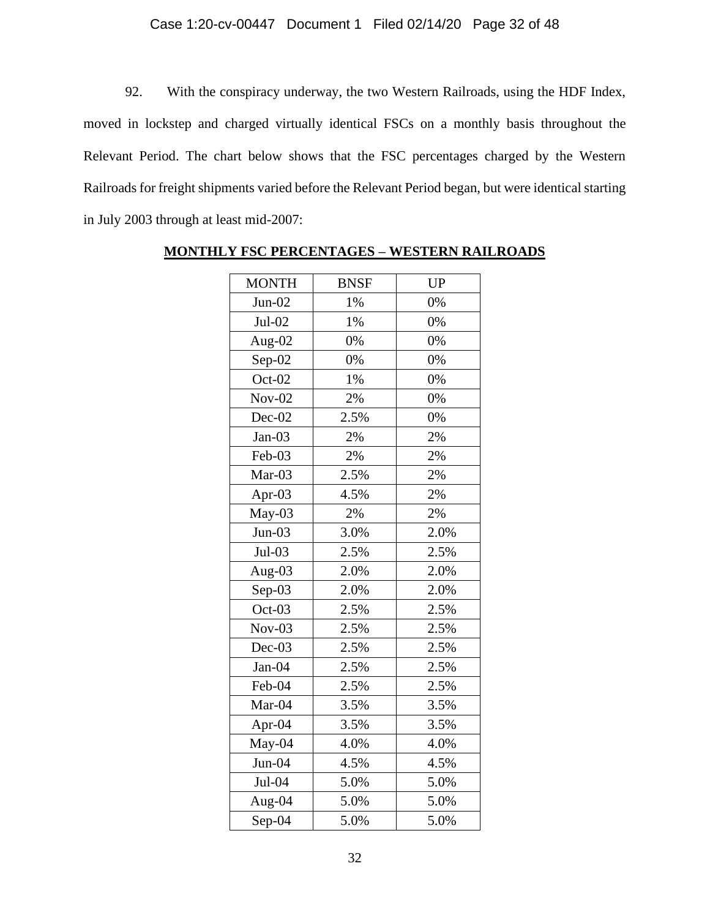# Case 1:20-cv-00447 Document 1 Filed 02/14/20 Page 32 of 48

92. With the conspiracy underway, the two Western Railroads, using the HDF Index, moved in lockstep and charged virtually identical FSCs on a monthly basis throughout the Relevant Period. The chart below shows that the FSC percentages charged by the Western Railroads for freight shipments varied before the Relevant Period began, but were identical starting in July 2003 through at least mid-2007:

| <b>MONTH</b> | <b>BNSF</b> | <b>UP</b> |
|--------------|-------------|-----------|
| $Jun-02$     | 1%          | 0%        |
| Jul-02       | $1\%$       | 0%        |
| Aug-02       | 0%          | 0%        |
| $Sep-02$     | 0%          | 0%        |
| $Oct-02$     | 1%          | 0%        |
| $Nov-02$     | 2%          | $0\%$     |
| Dec-02       | 2.5%        | 0%        |
| $Jan-03$     | 2%          | 2%        |
| Feb-03       | 2%          | 2%        |
| Mar-03       | 2.5%        | 2%        |
| Apr-03       | 4.5%        | 2%        |
| May-03       | 2%          | 2%        |
| $Jun-03$     | 3.0%        | 2.0%      |
| Jul-03       | 2.5%        | 2.5%      |
| Aug-03       | 2.0%        | 2.0%      |
| $Sep-03$     | 2.0%        | 2.0%      |
| Oct-03       | 2.5%        | 2.5%      |
| $Nov-03$     | 2.5%        | 2.5%      |
| $Dec-03$     | 2.5%        | 2.5%      |
| Jan-04       | 2.5%        | 2.5%      |
| Feb-04       | 2.5%        | 2.5%      |
| Mar-04       | 3.5%        | 3.5%      |
| Apr-04       | 3.5%        | 3.5%      |
| May-04       | 4.0%        | 4.0%      |
| $Jun-04$     | 4.5%        | 4.5%      |
| $Jul-04$     | 5.0%        | 5.0%      |
| Aug-04       | 5.0%        | 5.0%      |
| $Sep-04$     | 5.0%        | 5.0%      |

# **MONTHLY FSC PERCENTAGES – WESTERN RAILROADS**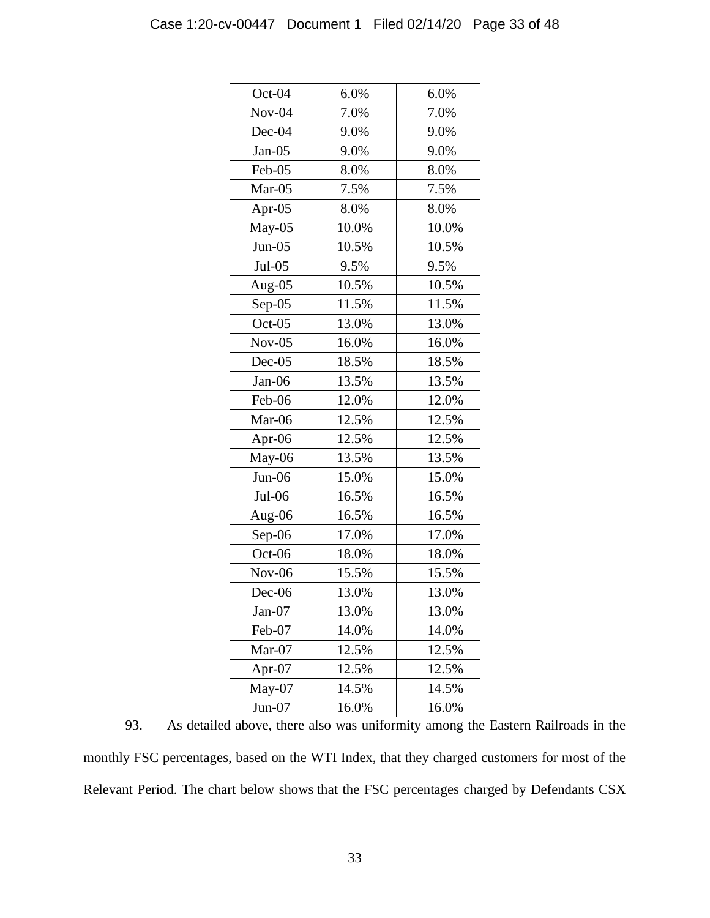| Oct-04    | 6.0%  | 6.0%  |
|-----------|-------|-------|
| $Nov-04$  | 7.0%  | 7.0%  |
| $Dec-04$  | 9.0%  | 9.0%  |
| $Jan-05$  | 9.0%  | 9.0%  |
| Feb-05    | 8.0%  | 8.0%  |
| Mar-05    | 7.5%  | 7.5%  |
| Apr- $05$ | 8.0%  | 8.0%  |
| $May-05$  | 10.0% | 10.0% |
| $Jun-05$  | 10.5% | 10.5% |
| $Jul-05$  | 9.5%  | 9.5%  |
| Aug-05    | 10.5% | 10.5% |
| $Sep-05$  | 11.5% | 11.5% |
| $Oct-05$  | 13.0% | 13.0% |
| $Nov-05$  | 16.0% | 16.0% |
| $Dec-05$  | 18.5% | 18.5% |
| Jan-06    | 13.5% | 13.5% |
| Feb-06    | 12.0% | 12.0% |
| Mar-06    | 12.5% | 12.5% |
| Apr-06    | 12.5% | 12.5% |
| May-06    | 13.5% | 13.5% |
| $Jun-06$  | 15.0% | 15.0% |
| $Jul-06$  | 16.5% | 16.5% |
| Aug-06    | 16.5% | 16.5% |
| Sep-06    | 17.0% | 17.0% |
| Oct-06    | 18.0% | 18.0% |
| $Nov-06$  | 15.5% | 15.5% |
| $Dec-06$  | 13.0% | 13.0% |
| $Jan-07$  | 13.0% | 13.0% |
| Feb-07    | 14.0% | 14.0% |
| Mar-07    | 12.5% | 12.5% |
| Apr-07    | 12.5% | 12.5% |
| $May-07$  | 14.5% | 14.5% |
| $Jun-07$  | 16.0% | 16.0% |

93. As detailed above, there also was uniformity among the Eastern Railroads in the monthly FSC percentages, based on the WTI Index, that they charged customers for most of the Relevant Period. The chart below shows that the FSC percentages charged by Defendants CSX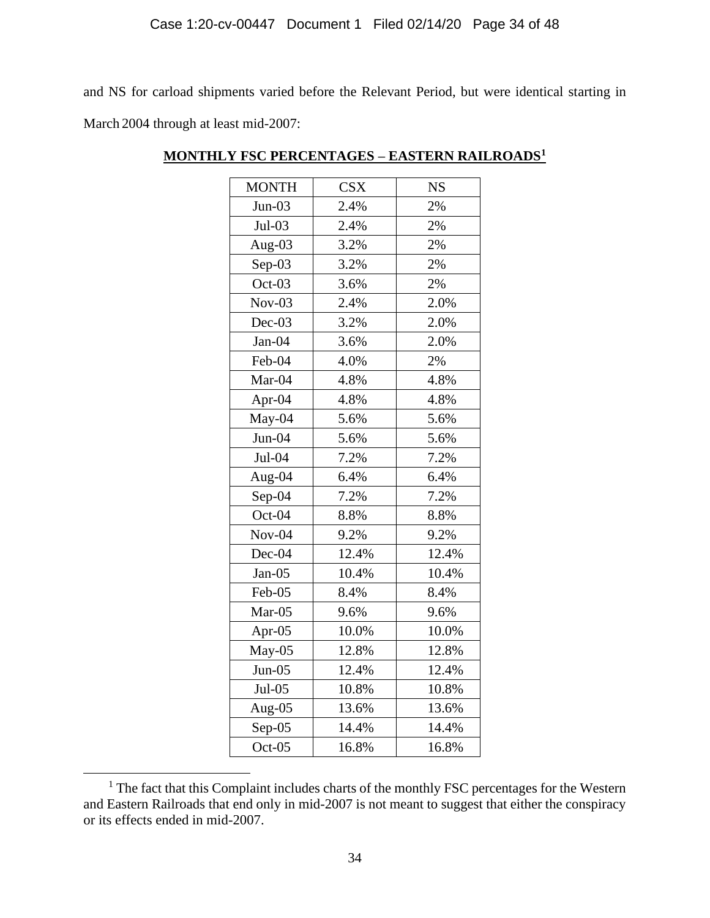and NS for carload shipments varied before the Relevant Period, but were identical starting in March 2004 through at least mid-2007:

| <b>MONTH</b> | <b>CSX</b> | <b>NS</b> |
|--------------|------------|-----------|
| $Jun-03$     | 2.4%       | 2%        |
| $Jul-03$     | 2.4%       | 2%        |
| Aug-03       | 3.2%       | 2%        |
| $Sep-03$     | 3.2%       | 2%        |
| $Oct-03$     | 3.6%       | 2%        |
| $Nov-03$     | 2.4%       | 2.0%      |
| Dec-03       | 3.2%       | 2.0%      |
| Jan-04       | 3.6%       | 2.0%      |
| Feb-04       | 4.0%       | 2%        |
| Mar-04       | 4.8%       | 4.8%      |
| Apr-04       | 4.8%       | 4.8%      |
| May-04       | 5.6%       | 5.6%      |
| $Jun-04$     | 5.6%       | 5.6%      |
| Jul-04       | 7.2%       | 7.2%      |
| Aug-04       | 6.4%       | 6.4%      |
| Sep-04       | 7.2%       | 7.2%      |
| Oct-04       | 8.8%       | 8.8%      |
| $Nov-04$     | 9.2%       | 9.2%      |
| Dec-04       | 12.4%      | 12.4%     |
| $Jan-05$     | 10.4%      | 10.4%     |
| Feb-05       | 8.4%       | 8.4%      |
| Mar-05       | 9.6%       | 9.6%      |
| Apr-05       | 10.0%      | 10.0%     |
| $May-05$     | 12.8%      | 12.8%     |
| $Jun-05$     | 12.4%      | 12.4%     |
| $Jul-05$     | 10.8%      | 10.8%     |
| Aug-05       | 13.6%      | 13.6%     |
| $Sep-05$     | 14.4%      | 14.4%     |
| Oct-05       | 16.8%      | 16.8%     |

# **MONTHLY FSC PERCENTAGES – EASTERN RAILROADS<sup>1</sup>**

<sup>&</sup>lt;sup>1</sup> The fact that this Complaint includes charts of the monthly FSC percentages for the Western and Eastern Railroads that end only in mid-2007 is not meant to suggest that either the conspiracy or its effects ended in mid-2007.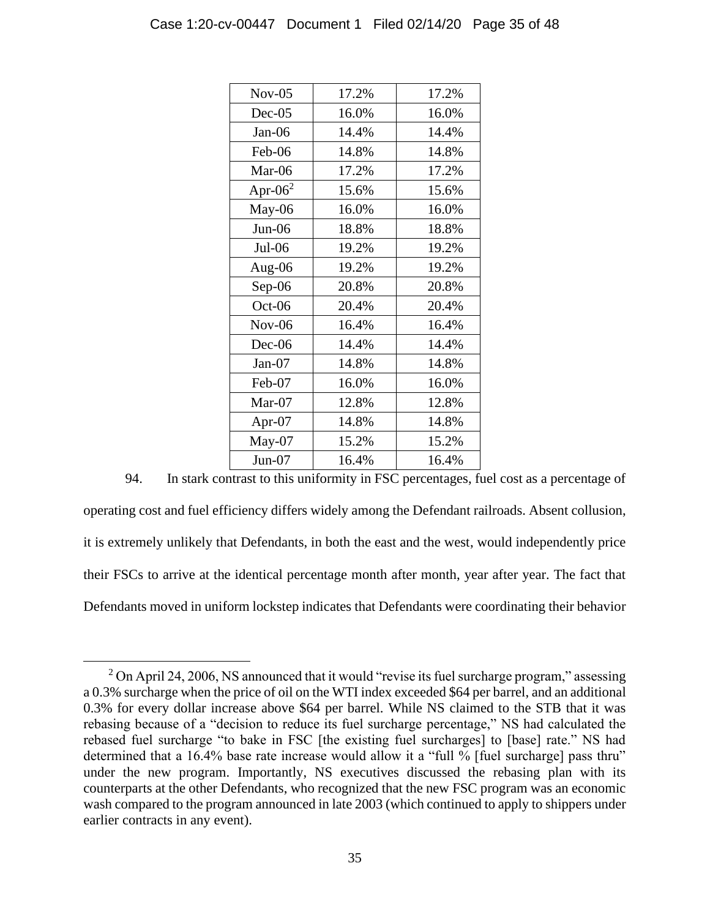| $Nov-05$   | 17.2% | 17.2% |
|------------|-------|-------|
| $Dec-05$   | 16.0% | 16.0% |
| Jan-06     | 14.4% | 14.4% |
| Feb-06     | 14.8% | 14.8% |
| Mar-06     | 17.2% | 17.2% |
| Apr- $062$ | 15.6% | 15.6% |
| May-06     | 16.0% | 16.0% |
| Jun-06     | 18.8% | 18.8% |
| $Jul-06$   | 19.2% | 19.2% |
| Aug-06     | 19.2% | 19.2% |
| Sep-06     | 20.8% | 20.8% |
| Oct-06     | 20.4% | 20.4% |
| $Nov-06$   | 16.4% | 16.4% |
| $Dec-06$   | 14.4% | 14.4% |
| $Jan-07$   | 14.8% | 14.8% |
| Feb-07     | 16.0% | 16.0% |
| Mar-07     | 12.8% | 12.8% |
| Apr-07     | 14.8% | 14.8% |
| May-07     | 15.2% | 15.2% |
| $Jun-07$   | 16.4% | 16.4% |

94. In stark contrast to this uniformity in FSC percentages, fuel cost as a percentage of operating cost and fuel efficiency differs widely among the Defendant railroads. Absent collusion, it is extremely unlikely that Defendants, in both the east and the west, would independently price their FSCs to arrive at the identical percentage month after month, year after year. The fact that Defendants moved in uniform lockstep indicates that Defendants were coordinating their behavior

 $2$  On April 24, 2006, NS announced that it would "revise its fuel surcharge program," assessing a 0.3% surcharge when the price of oil on the WTI index exceeded \$64 per barrel, and an additional 0.3% for every dollar increase above \$64 per barrel. While NS claimed to the STB that it was rebasing because of a "decision to reduce its fuel surcharge percentage," NS had calculated the rebased fuel surcharge "to bake in FSC [the existing fuel surcharges] to [base] rate." NS had determined that a 16.4% base rate increase would allow it a "full % [fuel surcharge] pass thru" under the new program. Importantly, NS executives discussed the rebasing plan with its counterparts at the other Defendants, who recognized that the new FSC program was an economic wash compared to the program announced in late 2003 (which continued to apply to shippers under earlier contracts in any event).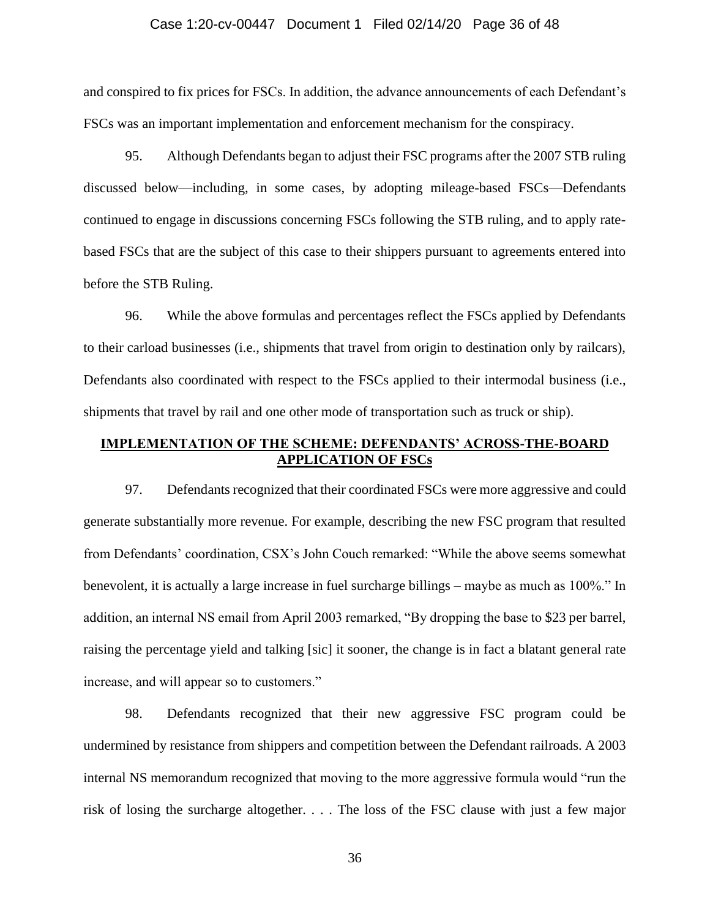#### Case 1:20-cv-00447 Document 1 Filed 02/14/20 Page 36 of 48

and conspired to fix prices for FSCs. In addition, the advance announcements of each Defendant's FSCs was an important implementation and enforcement mechanism for the conspiracy.

95. Although Defendants began to adjust their FSC programs after the 2007 STB ruling discussed below—including, in some cases, by adopting mileage-based FSCs—Defendants continued to engage in discussions concerning FSCs following the STB ruling, and to apply ratebased FSCs that are the subject of this case to their shippers pursuant to agreements entered into before the STB Ruling.

96. While the above formulas and percentages reflect the FSCs applied by Defendants to their carload businesses (i.e., shipments that travel from origin to destination only by railcars), Defendants also coordinated with respect to the FSCs applied to their intermodal business (i.e., shipments that travel by rail and one other mode of transportation such as truck or ship).

# **IMPLEMENTATION OF THE SCHEME: DEFENDANTS' ACROSS-THE-BOARD APPLICATION OF FSCs**

97. Defendants recognized that their coordinated FSCs were more aggressive and could generate substantially more revenue. For example, describing the new FSC program that resulted from Defendants' coordination, CSX's John Couch remarked: "While the above seems somewhat benevolent, it is actually a large increase in fuel surcharge billings – maybe as much as 100%." In addition, an internal NS email from April 2003 remarked, "By dropping the base to \$23 per barrel, raising the percentage yield and talking [sic] it sooner, the change is in fact a blatant general rate increase, and will appear so to customers."

98. Defendants recognized that their new aggressive FSC program could be undermined by resistance from shippers and competition between the Defendant railroads. A 2003 internal NS memorandum recognized that moving to the more aggressive formula would "run the risk of losing the surcharge altogether. . . . The loss of the FSC clause with just a few major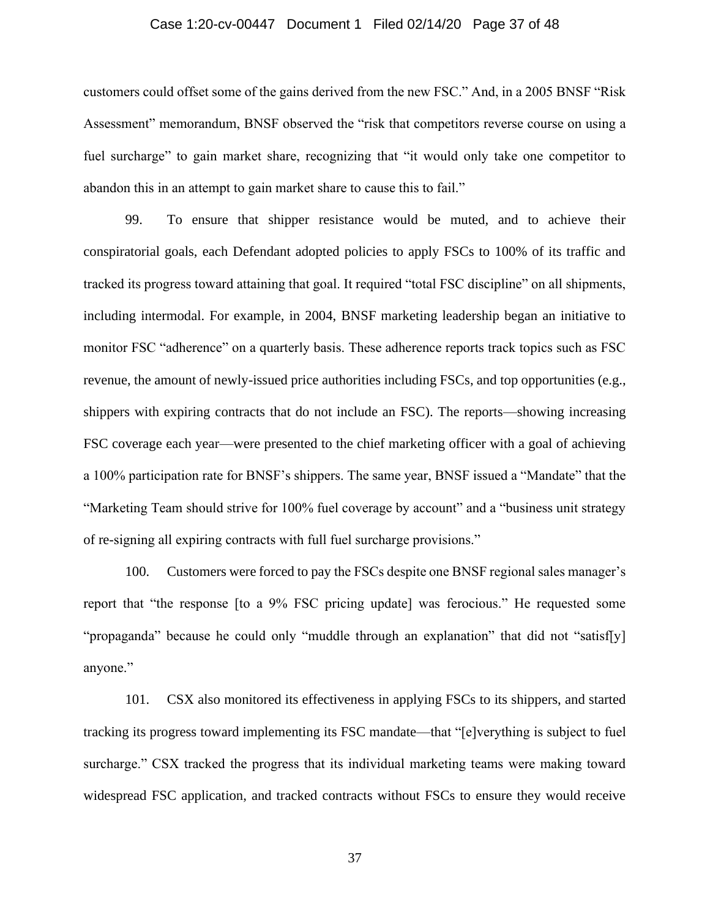#### Case 1:20-cv-00447 Document 1 Filed 02/14/20 Page 37 of 48

customers could offset some of the gains derived from the new FSC." And, in a 2005 BNSF "Risk Assessment" memorandum, BNSF observed the "risk that competitors reverse course on using a fuel surcharge" to gain market share, recognizing that "it would only take one competitor to abandon this in an attempt to gain market share to cause this to fail."

99. To ensure that shipper resistance would be muted, and to achieve their conspiratorial goals, each Defendant adopted policies to apply FSCs to 100% of its traffic and tracked its progress toward attaining that goal. It required "total FSC discipline" on all shipments, including intermodal. For example, in 2004, BNSF marketing leadership began an initiative to monitor FSC "adherence" on a quarterly basis. These adherence reports track topics such as FSC revenue, the amount of newly-issued price authorities including FSCs, and top opportunities (e.g., shippers with expiring contracts that do not include an FSC). The reports—showing increasing FSC coverage each year—were presented to the chief marketing officer with a goal of achieving a 100% participation rate for BNSF's shippers. The same year, BNSF issued a "Mandate" that the "Marketing Team should strive for 100% fuel coverage by account" and a "business unit strategy of re-signing all expiring contracts with full fuel surcharge provisions."

100. Customers were forced to pay the FSCs despite one BNSF regional sales manager's report that "the response [to a 9% FSC pricing update] was ferocious." He requested some "propaganda" because he could only "muddle through an explanation" that did not "satisf[y] anyone."

101. CSX also monitored its effectiveness in applying FSCs to its shippers, and started tracking its progress toward implementing its FSC mandate—that "[e]verything is subject to fuel surcharge." CSX tracked the progress that its individual marketing teams were making toward widespread FSC application, and tracked contracts without FSCs to ensure they would receive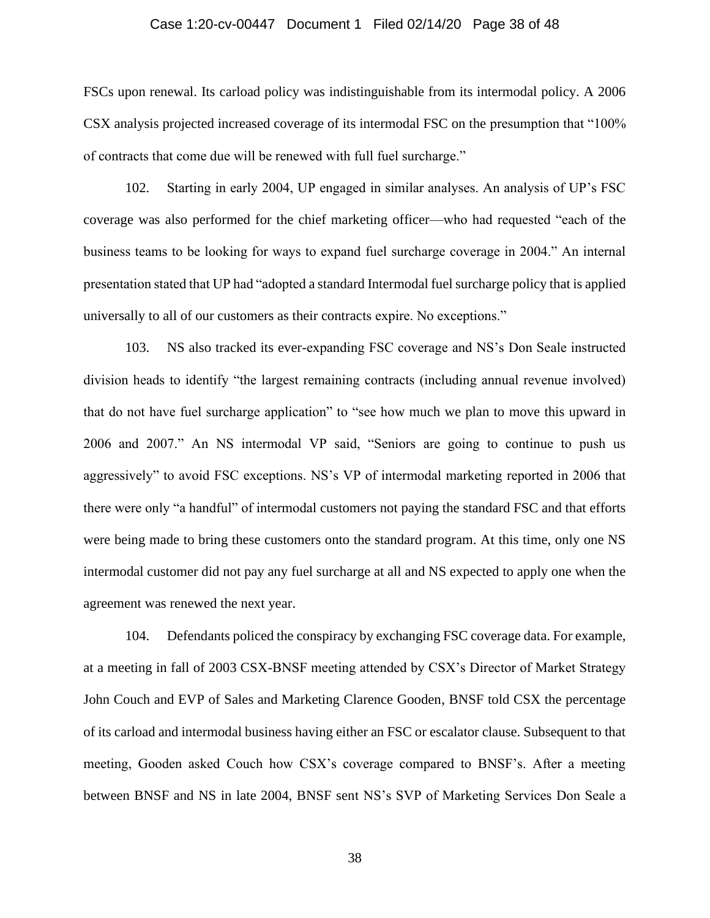#### Case 1:20-cv-00447 Document 1 Filed 02/14/20 Page 38 of 48

FSCs upon renewal. Its carload policy was indistinguishable from its intermodal policy. A 2006 CSX analysis projected increased coverage of its intermodal FSC on the presumption that "100% of contracts that come due will be renewed with full fuel surcharge."

102. Starting in early 2004, UP engaged in similar analyses. An analysis of UP's FSC coverage was also performed for the chief marketing officer—who had requested "each of the business teams to be looking for ways to expand fuel surcharge coverage in 2004." An internal presentation stated that UP had "adopted a standard Intermodal fuel surcharge policy that is applied universally to all of our customers as their contracts expire. No exceptions."

103. NS also tracked its ever-expanding FSC coverage and NS's Don Seale instructed division heads to identify "the largest remaining contracts (including annual revenue involved) that do not have fuel surcharge application" to "see how much we plan to move this upward in 2006 and 2007." An NS intermodal VP said, "Seniors are going to continue to push us aggressively" to avoid FSC exceptions. NS's VP of intermodal marketing reported in 2006 that there were only "a handful" of intermodal customers not paying the standard FSC and that efforts were being made to bring these customers onto the standard program. At this time, only one NS intermodal customer did not pay any fuel surcharge at all and NS expected to apply one when the agreement was renewed the next year.

104. Defendants policed the conspiracy by exchanging FSC coverage data. For example, at a meeting in fall of 2003 CSX-BNSF meeting attended by CSX's Director of Market Strategy John Couch and EVP of Sales and Marketing Clarence Gooden, BNSF told CSX the percentage of its carload and intermodal business having either an FSC or escalator clause. Subsequent to that meeting, Gooden asked Couch how CSX's coverage compared to BNSF's. After a meeting between BNSF and NS in late 2004, BNSF sent NS's SVP of Marketing Services Don Seale a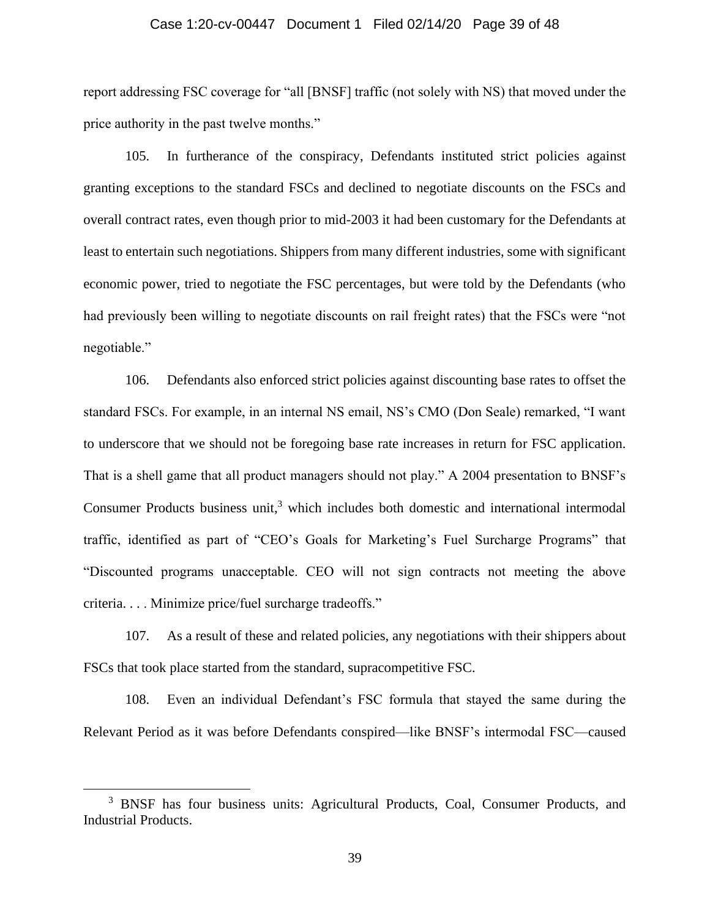#### Case 1:20-cv-00447 Document 1 Filed 02/14/20 Page 39 of 48

report addressing FSC coverage for "all [BNSF] traffic (not solely with NS) that moved under the price authority in the past twelve months."

105. In furtherance of the conspiracy, Defendants instituted strict policies against granting exceptions to the standard FSCs and declined to negotiate discounts on the FSCs and overall contract rates, even though prior to mid-2003 it had been customary for the Defendants at least to entertain such negotiations. Shippers from many different industries, some with significant economic power, tried to negotiate the FSC percentages, but were told by the Defendants (who had previously been willing to negotiate discounts on rail freight rates) that the FSCs were "not negotiable."

106. Defendants also enforced strict policies against discounting base rates to offset the standard FSCs. For example, in an internal NS email, NS's CMO (Don Seale) remarked, "I want to underscore that we should not be foregoing base rate increases in return for FSC application. That is a shell game that all product managers should not play." A 2004 presentation to BNSF's Consumer Products business unit, $3$  which includes both domestic and international intermodal traffic, identified as part of "CEO's Goals for Marketing's Fuel Surcharge Programs" that "Discounted programs unacceptable. CEO will not sign contracts not meeting the above criteria. . . . Minimize price/fuel surcharge tradeoffs."

107. As a result of these and related policies, any negotiations with their shippers about FSCs that took place started from the standard, supracompetitive FSC.

108. Even an individual Defendant's FSC formula that stayed the same during the Relevant Period as it was before Defendants conspired—like BNSF's intermodal FSC—caused

<sup>&</sup>lt;sup>3</sup> BNSF has four business units: Agricultural Products, Coal, Consumer Products, and Industrial Products.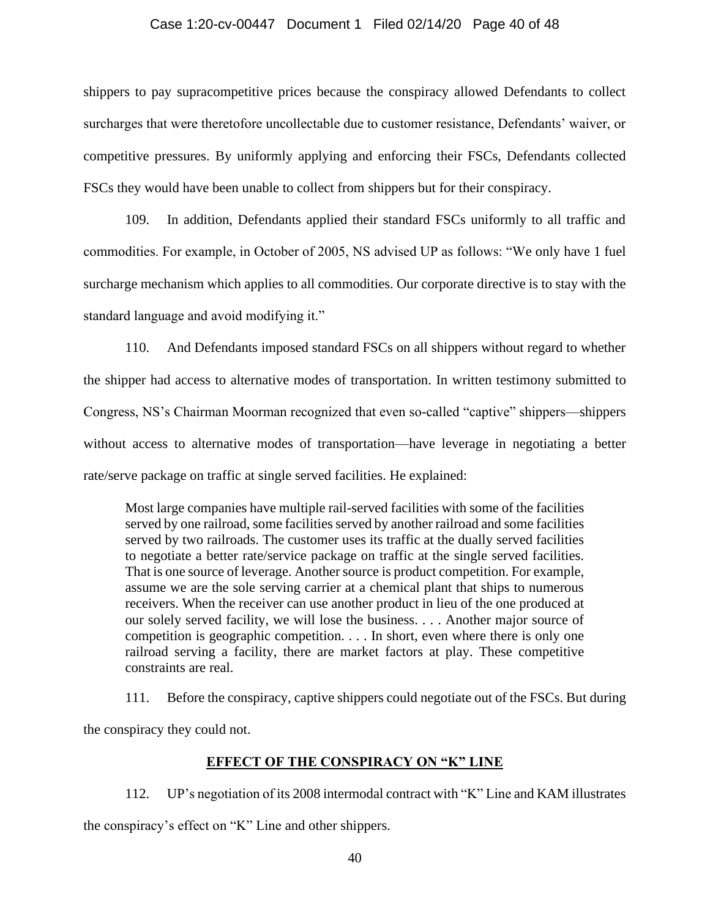#### Case 1:20-cv-00447 Document 1 Filed 02/14/20 Page 40 of 48

shippers to pay supracompetitive prices because the conspiracy allowed Defendants to collect surcharges that were theretofore uncollectable due to customer resistance, Defendants' waiver, or competitive pressures. By uniformly applying and enforcing their FSCs, Defendants collected FSCs they would have been unable to collect from shippers but for their conspiracy.

109. In addition, Defendants applied their standard FSCs uniformly to all traffic and commodities. For example, in October of 2005, NS advised UP as follows: "We only have 1 fuel surcharge mechanism which applies to all commodities. Our corporate directive is to stay with the standard language and avoid modifying it."

110. And Defendants imposed standard FSCs on all shippers without regard to whether the shipper had access to alternative modes of transportation. In written testimony submitted to Congress, NS's Chairman Moorman recognized that even so-called "captive" shippers—shippers without access to alternative modes of transportation—have leverage in negotiating a better rate/serve package on traffic at single served facilities. He explained:

Most large companies have multiple rail-served facilities with some of the facilities served by one railroad, some facilities served by another railroad and some facilities served by two railroads. The customer uses its traffic at the dually served facilities to negotiate a better rate/service package on traffic at the single served facilities. That is one source of leverage. Another source is product competition. For example, assume we are the sole serving carrier at a chemical plant that ships to numerous receivers. When the receiver can use another product in lieu of the one produced at our solely served facility, we will lose the business. . . . Another major source of competition is geographic competition. . . . In short, even where there is only one railroad serving a facility, there are market factors at play. These competitive constraints are real.

111. Before the conspiracy, captive shippers could negotiate out of the FSCs. But during

the conspiracy they could not.

# **EFFECT OF THE CONSPIRACY ON "K" LINE**

112. UP's negotiation of its 2008 intermodal contract with "K" Line and KAM illustrates the conspiracy's effect on "K" Line and other shippers.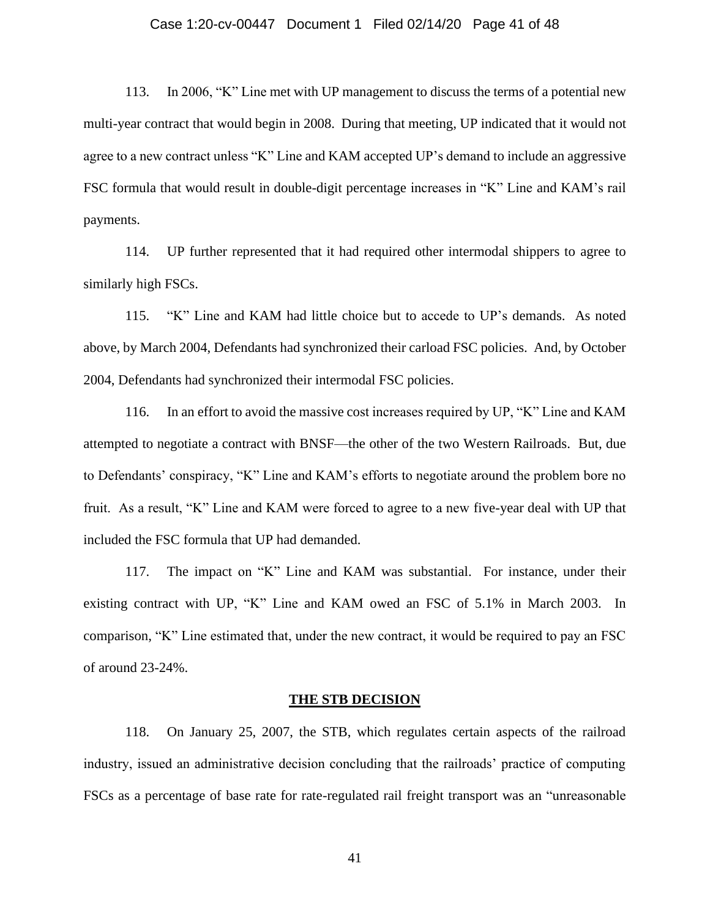#### Case 1:20-cv-00447 Document 1 Filed 02/14/20 Page 41 of 48

113. In 2006, "K" Line met with UP management to discuss the terms of a potential new multi-year contract that would begin in 2008. During that meeting, UP indicated that it would not agree to a new contract unless "K" Line and KAM accepted UP's demand to include an aggressive FSC formula that would result in double-digit percentage increases in "K" Line and KAM's rail payments.

114. UP further represented that it had required other intermodal shippers to agree to similarly high FSCs.

115. "K" Line and KAM had little choice but to accede to UP's demands. As noted above, by March 2004, Defendants had synchronized their carload FSC policies. And, by October 2004, Defendants had synchronized their intermodal FSC policies.

116. In an effort to avoid the massive cost increases required by UP, "K" Line and KAM attempted to negotiate a contract with BNSF—the other of the two Western Railroads. But, due to Defendants' conspiracy, "K" Line and KAM's efforts to negotiate around the problem bore no fruit. As a result, "K" Line and KAM were forced to agree to a new five-year deal with UP that included the FSC formula that UP had demanded.

117. The impact on "K" Line and KAM was substantial. For instance, under their existing contract with UP, "K" Line and KAM owed an FSC of 5.1% in March 2003. In comparison, "K" Line estimated that, under the new contract, it would be required to pay an FSC of around 23-24%.

#### **THE STB DECISION**

118. On January 25, 2007, the STB, which regulates certain aspects of the railroad industry, issued an administrative decision concluding that the railroads' practice of computing FSCs as a percentage of base rate for rate-regulated rail freight transport was an "unreasonable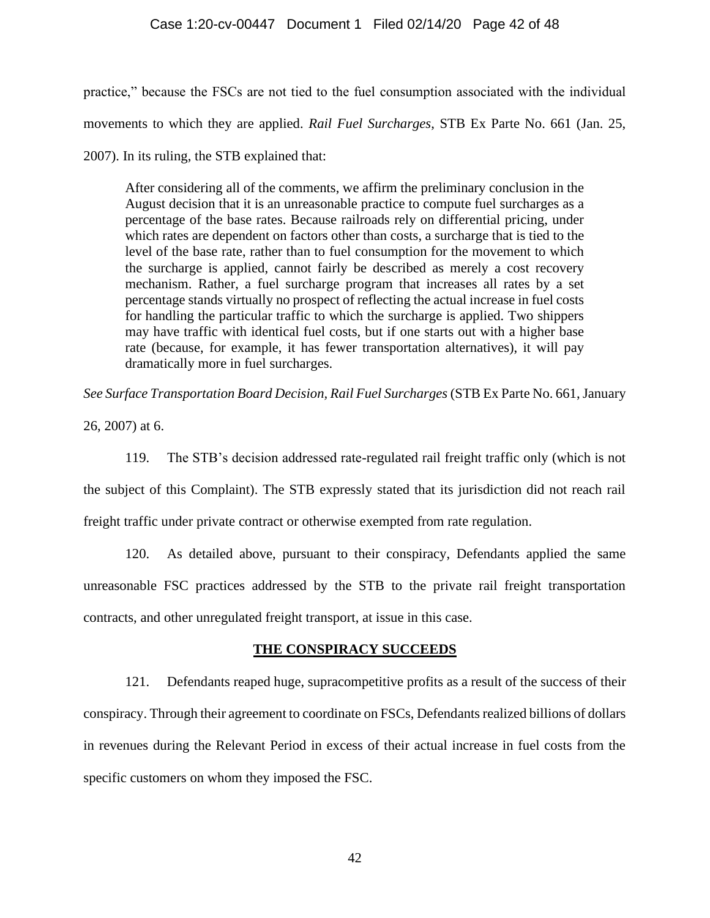## Case 1:20-cv-00447 Document 1 Filed 02/14/20 Page 42 of 48

practice," because the FSCs are not tied to the fuel consumption associated with the individual movements to which they are applied. *Rail Fuel Surcharges*, STB Ex Parte No. 661 (Jan. 25, 2007). In its ruling, the STB explained that:

After considering all of the comments, we affirm the preliminary conclusion in the August decision that it is an unreasonable practice to compute fuel surcharges as a percentage of the base rates. Because railroads rely on differential pricing, under which rates are dependent on factors other than costs, a surcharge that is tied to the level of the base rate, rather than to fuel consumption for the movement to which the surcharge is applied, cannot fairly be described as merely a cost recovery mechanism. Rather, a fuel surcharge program that increases all rates by a set percentage stands virtually no prospect of reflecting the actual increase in fuel costs for handling the particular traffic to which the surcharge is applied. Two shippers may have traffic with identical fuel costs, but if one starts out with a higher base rate (because, for example, it has fewer transportation alternatives), it will pay dramatically more in fuel surcharges.

*See Surface Transportation Board Decision, Rail Fuel Surcharges* (STB Ex Parte No. 661, January

26, 2007) at 6.

119. The STB's decision addressed rate-regulated rail freight traffic only (which is not the subject of this Complaint). The STB expressly stated that its jurisdiction did not reach rail freight traffic under private contract or otherwise exempted from rate regulation.

120. As detailed above, pursuant to their conspiracy, Defendants applied the same unreasonable FSC practices addressed by the STB to the private rail freight transportation contracts, and other unregulated freight transport, at issue in this case.

# **THE CONSPIRACY SUCCEEDS**

121. Defendants reaped huge, supracompetitive profits as a result of the success of their conspiracy. Through their agreement to coordinate on FSCs, Defendants realized billions of dollars in revenues during the Relevant Period in excess of their actual increase in fuel costs from the specific customers on whom they imposed the FSC.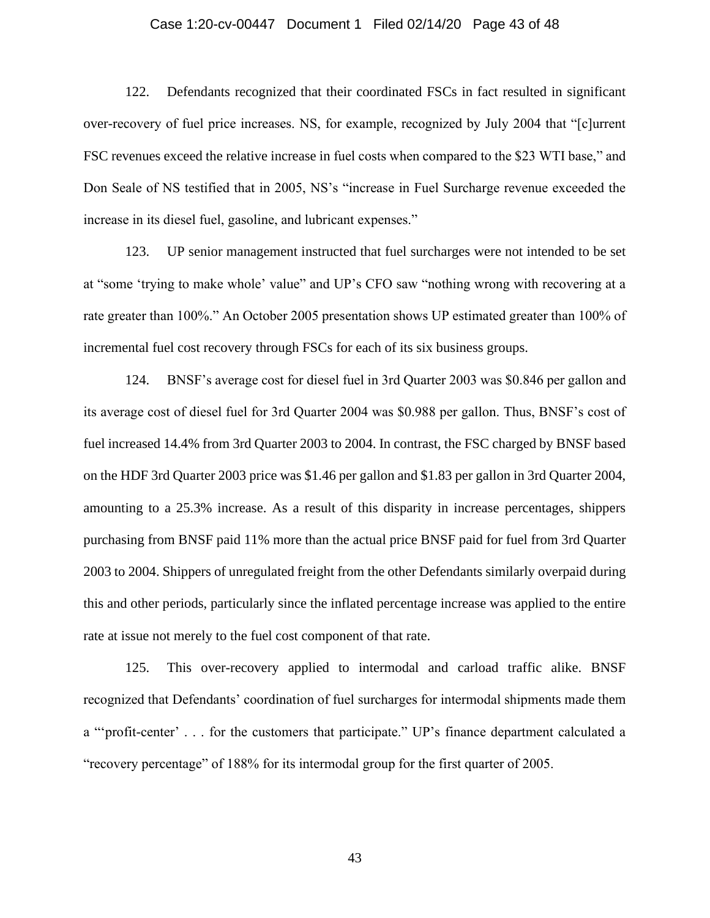#### Case 1:20-cv-00447 Document 1 Filed 02/14/20 Page 43 of 48

122. Defendants recognized that their coordinated FSCs in fact resulted in significant over-recovery of fuel price increases. NS, for example, recognized by July 2004 that "[c]urrent FSC revenues exceed the relative increase in fuel costs when compared to the \$23 WTI base," and Don Seale of NS testified that in 2005, NS's "increase in Fuel Surcharge revenue exceeded the increase in its diesel fuel, gasoline, and lubricant expenses."

123. UP senior management instructed that fuel surcharges were not intended to be set at "some 'trying to make whole' value" and UP's CFO saw "nothing wrong with recovering at a rate greater than 100%." An October 2005 presentation shows UP estimated greater than 100% of incremental fuel cost recovery through FSCs for each of its six business groups.

124. BNSF's average cost for diesel fuel in 3rd Quarter 2003 was \$0.846 per gallon and its average cost of diesel fuel for 3rd Quarter 2004 was \$0.988 per gallon. Thus, BNSF's cost of fuel increased 14.4% from 3rd Quarter 2003 to 2004. In contrast, the FSC charged by BNSF based on the HDF 3rd Quarter 2003 price was \$1.46 per gallon and \$1.83 per gallon in 3rd Quarter 2004, amounting to a 25.3% increase. As a result of this disparity in increase percentages, shippers purchasing from BNSF paid 11% more than the actual price BNSF paid for fuel from 3rd Quarter 2003 to 2004. Shippers of unregulated freight from the other Defendants similarly overpaid during this and other periods, particularly since the inflated percentage increase was applied to the entire rate at issue not merely to the fuel cost component of that rate.

125. This over-recovery applied to intermodal and carload traffic alike. BNSF recognized that Defendants' coordination of fuel surcharges for intermodal shipments made them a "'profit-center' . . . for the customers that participate." UP's finance department calculated a "recovery percentage" of 188% for its intermodal group for the first quarter of 2005.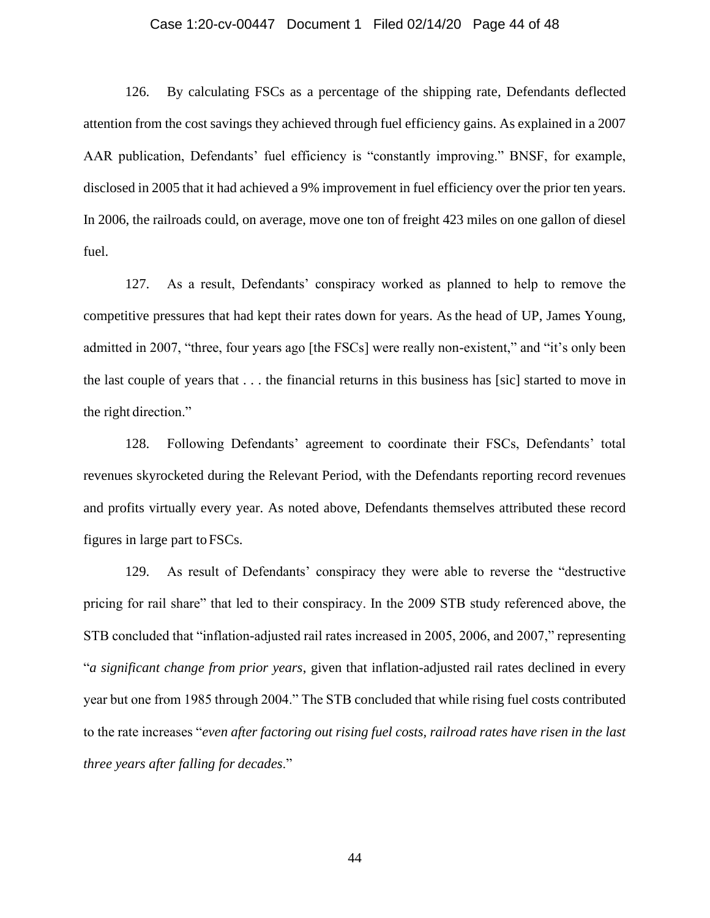#### Case 1:20-cv-00447 Document 1 Filed 02/14/20 Page 44 of 48

126. By calculating FSCs as a percentage of the shipping rate, Defendants deflected attention from the cost savings they achieved through fuel efficiency gains. As explained in a 2007 AAR publication, Defendants' fuel efficiency is "constantly improving." BNSF, for example, disclosed in 2005 that it had achieved a 9% improvement in fuel efficiency over the prior ten years. In 2006, the railroads could, on average, move one ton of freight 423 miles on one gallon of diesel fuel.

127. As a result, Defendants' conspiracy worked as planned to help to remove the competitive pressures that had kept their rates down for years. As the head of UP, James Young, admitted in 2007, "three, four years ago [the FSCs] were really non-existent," and "it's only been the last couple of years that . . . the financial returns in this business has [sic] started to move in the right direction."

128. Following Defendants' agreement to coordinate their FSCs, Defendants' total revenues skyrocketed during the Relevant Period, with the Defendants reporting record revenues and profits virtually every year. As noted above, Defendants themselves attributed these record figures in large part to FSCs.

129. As result of Defendants' conspiracy they were able to reverse the "destructive pricing for rail share" that led to their conspiracy. In the 2009 STB study referenced above, the STB concluded that "inflation-adjusted rail rates increased in 2005, 2006, and 2007," representing "*a significant change from prior years*, given that inflation-adjusted rail rates declined in every year but one from 1985 through 2004." The STB concluded that while rising fuel costs contributed to the rate increases "*even after factoring out rising fuel costs, railroad rates have risen in the last three years after falling for decades*."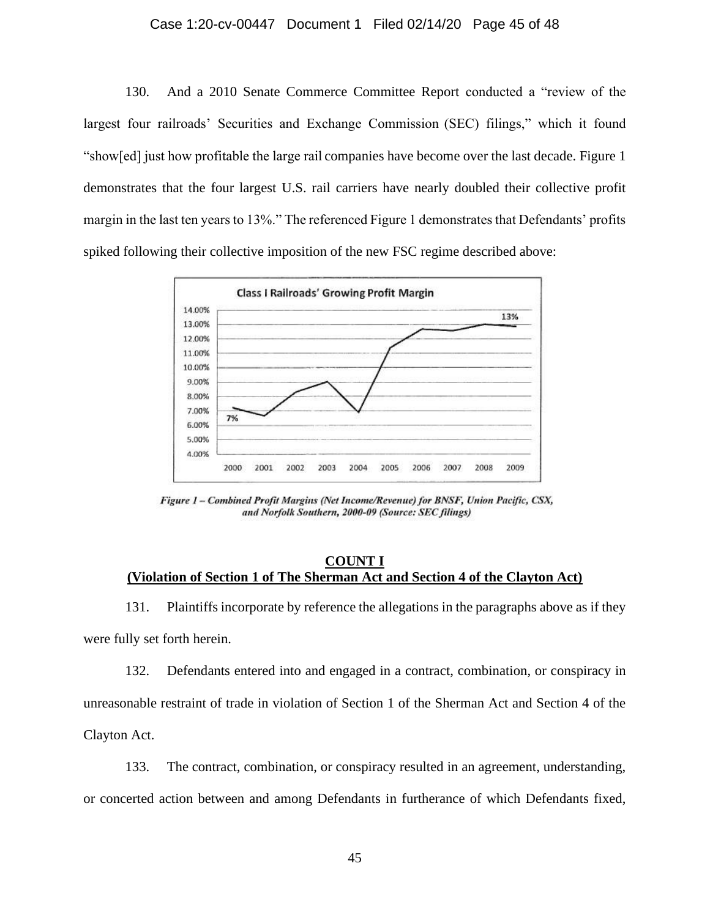#### Case 1:20-cv-00447 Document 1 Filed 02/14/20 Page 45 of 48

130. And a 2010 Senate Commerce Committee Report conducted a "review of the largest four railroads' Securities and Exchange Commission (SEC) filings," which it found "show[ed] just how profitable the large rail companies have become over the last decade. Figure 1 demonstrates that the four largest U.S. rail carriers have nearly doubled their collective profit margin in the last ten years to 13%." The referenced Figure 1 demonstrates that Defendants' profits spiked following their collective imposition of the new FSC regime described above:



Figure 1 - Combined Profit Margins (Net Income/Revenue) for BNSF, Union Pacific, CSX, and Norfolk Southern, 2000-09 (Source: SEC filings)

## **COUNT I (Violation of Section 1 of The Sherman Act and Section 4 of the Clayton Act)**

131. Plaintiffs incorporate by reference the allegations in the paragraphs above as if they were fully set forth herein.

132. Defendants entered into and engaged in a contract, combination, or conspiracy in unreasonable restraint of trade in violation of Section 1 of the Sherman Act and Section 4 of the Clayton Act.

133. The contract, combination, or conspiracy resulted in an agreement, understanding, or concerted action between and among Defendants in furtherance of which Defendants fixed,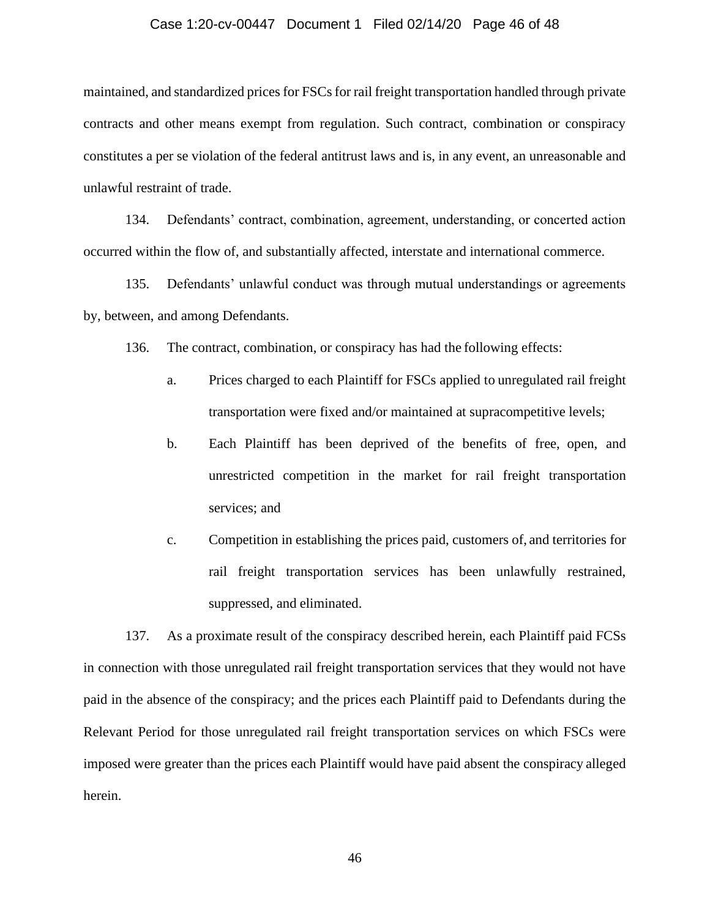#### Case 1:20-cv-00447 Document 1 Filed 02/14/20 Page 46 of 48

maintained, and standardized prices for FSCs for rail freight transportation handled through private contracts and other means exempt from regulation. Such contract, combination or conspiracy constitutes a per se violation of the federal antitrust laws and is, in any event, an unreasonable and unlawful restraint of trade.

134. Defendants' contract, combination, agreement, understanding, or concerted action occurred within the flow of, and substantially affected, interstate and international commerce.

135. Defendants' unlawful conduct was through mutual understandings or agreements by, between, and among Defendants.

136. The contract, combination, or conspiracy has had the following effects:

- a. Prices charged to each Plaintiff for FSCs applied to unregulated rail freight transportation were fixed and/or maintained at supracompetitive levels;
- b. Each Plaintiff has been deprived of the benefits of free, open, and unrestricted competition in the market for rail freight transportation services; and
- c. Competition in establishing the prices paid, customers of, and territories for rail freight transportation services has been unlawfully restrained, suppressed, and eliminated.

137. As a proximate result of the conspiracy described herein, each Plaintiff paid FCSs in connection with those unregulated rail freight transportation services that they would not have paid in the absence of the conspiracy; and the prices each Plaintiff paid to Defendants during the Relevant Period for those unregulated rail freight transportation services on which FSCs were imposed were greater than the prices each Plaintiff would have paid absent the conspiracy alleged herein.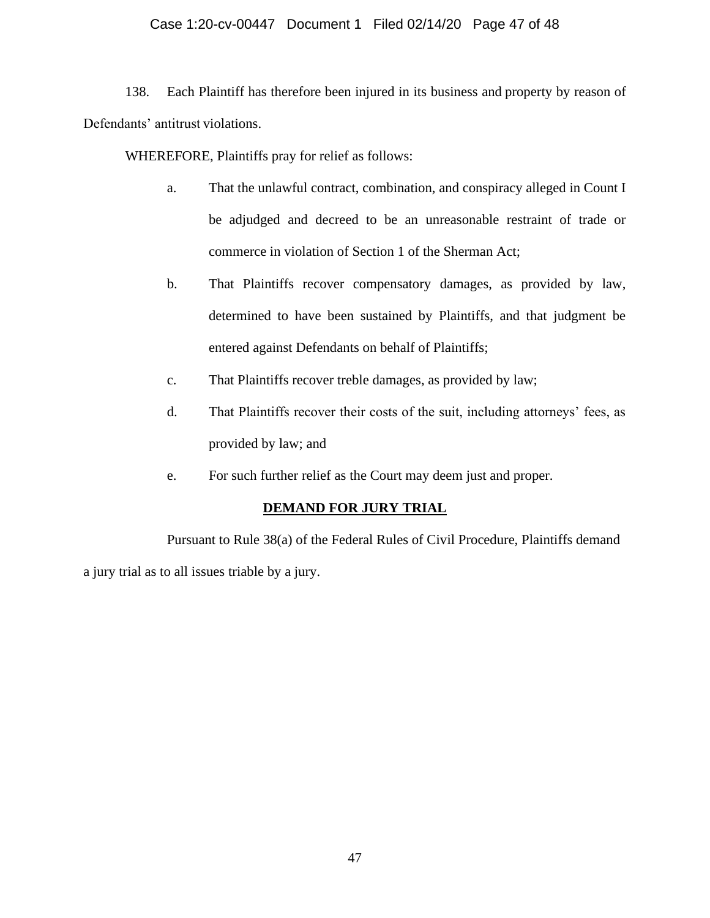# Case 1:20-cv-00447 Document 1 Filed 02/14/20 Page 47 of 48

138. Each Plaintiff has therefore been injured in its business and property by reason of Defendants' antitrust violations.

WHEREFORE, Plaintiffs pray for relief as follows:

- a. That the unlawful contract, combination, and conspiracy alleged in Count I be adjudged and decreed to be an unreasonable restraint of trade or commerce in violation of Section 1 of the Sherman Act;
- b. That Plaintiffs recover compensatory damages, as provided by law, determined to have been sustained by Plaintiffs, and that judgment be entered against Defendants on behalf of Plaintiffs;
- c. That Plaintiffs recover treble damages, as provided by law;
- d. That Plaintiffs recover their costs of the suit, including attorneys' fees, as provided by law; and
- e. For such further relief as the Court may deem just and proper.

## **DEMAND FOR JURY TRIAL**

Pursuant to Rule 38(a) of the Federal Rules of Civil Procedure, Plaintiffs demand a jury trial as to all issues triable by a jury.